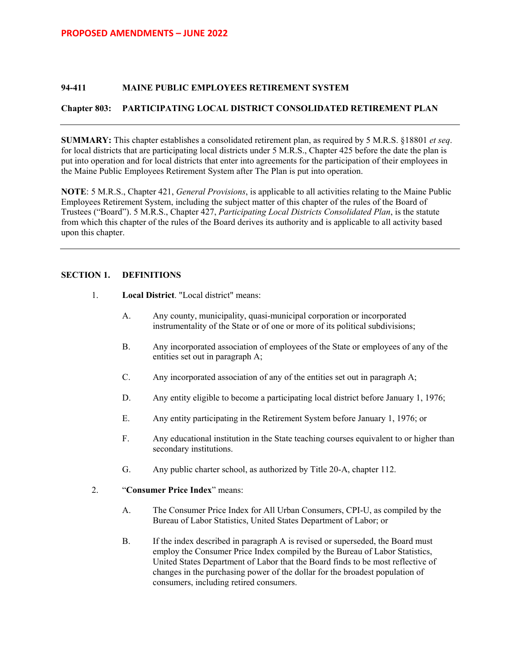### **94-411 MAINE PUBLIC EMPLOYEES RETIREMENT SYSTEM**

## **Chapter 803: PARTICIPATING LOCAL DISTRICT CONSOLIDATED RETIREMENT PLAN**

**SUMMARY:** This chapter establishes a consolidated retirement plan, as required by 5 M.R.S. §18801 *et seq*. for local districts that are participating local districts under 5 M.R.S., Chapter 425 before the date the plan is put into operation and for local districts that enter into agreements for the participation of their employees in the Maine Public Employees Retirement System after The Plan is put into operation.

**NOTE**: 5 M.R.S., Chapter 421, *General Provisions*, is applicable to all activities relating to the Maine Public Employees Retirement System, including the subject matter of this chapter of the rules of the Board of Trustees ("Board"). 5 M.R.S., Chapter 427, *Participating Local Districts Consolidated Plan*, is the statute from which this chapter of the rules of the Board derives its authority and is applicable to all activity based upon this chapter.

## **SECTION 1. DEFINITIONS**

- 1. **Local District**. "Local district" means:
	- A. Any county, municipality, quasi-municipal corporation or incorporated instrumentality of the State or of one or more of its political subdivisions;
	- B. Any incorporated association of employees of the State or employees of any of the entities set out in paragraph A;
	- C. Any incorporated association of any of the entities set out in paragraph A;
	- D. Any entity eligible to become a participating local district before January 1, 1976;
	- E. Any entity participating in the Retirement System before January 1, 1976; or
	- F. Any educational institution in the State teaching courses equivalent to or higher than secondary institutions.
	- G. Any public charter school, as authorized by Title 20-A, chapter 112.
- 2. "**Consumer Price Index**" means:
	- A. The Consumer Price Index for All Urban Consumers, CPI-U, as compiled by the Bureau of Labor Statistics, United States Department of Labor; or
	- B. If the index described in paragraph A is revised or superseded, the Board must employ the Consumer Price Index compiled by the Bureau of Labor Statistics, United States Department of Labor that the Board finds to be most reflective of changes in the purchasing power of the dollar for the broadest population of consumers, including retired consumers.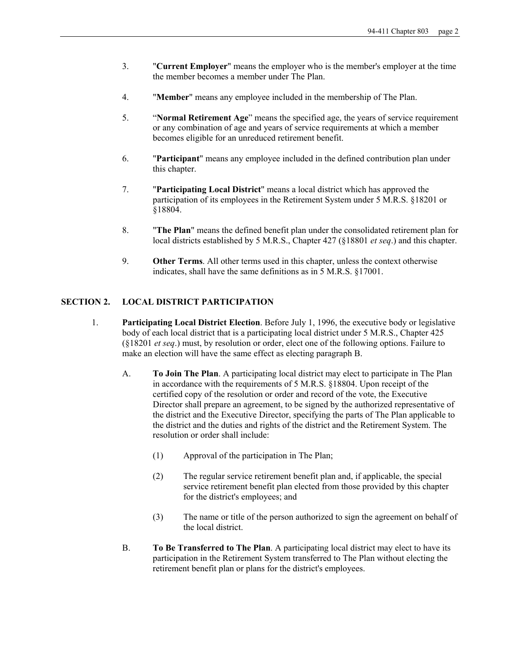- 3. "**Current Employer**" means the employer who is the member's employer at the time the member becomes a member under The Plan.
- 4. "**Member**" means any employee included in the membership of The Plan.
- 5. "**Normal Retirement Age**" means the specified age, the years of service requirement or any combination of age and years of service requirements at which a member becomes eligible for an unreduced retirement benefit.
- 6. "**Participant**" means any employee included in the defined contribution plan under this chapter.
- 7. "**Participating Local District**" means a local district which has approved the participation of its employees in the Retirement System under 5 M.R.S. §18201 or §18804.
- 8. "**The Plan**" means the defined benefit plan under the consolidated retirement plan for local districts established by 5 M.R.S., Chapter 427 (§18801 *et seq*.) and this chapter.
- 9. **Other Terms**. All other terms used in this chapter, unless the context otherwise indicates, shall have the same definitions as in 5 M.R.S. §17001.

## **SECTION 2. LOCAL DISTRICT PARTICIPATION**

- 1. **Participating Local District Election**. Before July 1, 1996, the executive body or legislative body of each local district that is a participating local district under 5 M.R.S., Chapter 425 (§18201 *et seq*.) must, by resolution or order, elect one of the following options. Failure to make an election will have the same effect as electing paragraph B.
	- A. **To Join The Plan**. A participating local district may elect to participate in The Plan in accordance with the requirements of 5 M.R.S. §18804. Upon receipt of the certified copy of the resolution or order and record of the vote, the Executive Director shall prepare an agreement, to be signed by the authorized representative of the district and the Executive Director, specifying the parts of The Plan applicable to the district and the duties and rights of the district and the Retirement System. The resolution or order shall include:
		- (1) Approval of the participation in The Plan;
		- (2) The regular service retirement benefit plan and, if applicable, the special service retirement benefit plan elected from those provided by this chapter for the district's employees; and
		- (3) The name or title of the person authorized to sign the agreement on behalf of the local district.
	- B. **To Be Transferred to The Plan**. A participating local district may elect to have its participation in the Retirement System transferred to The Plan without electing the retirement benefit plan or plans for the district's employees.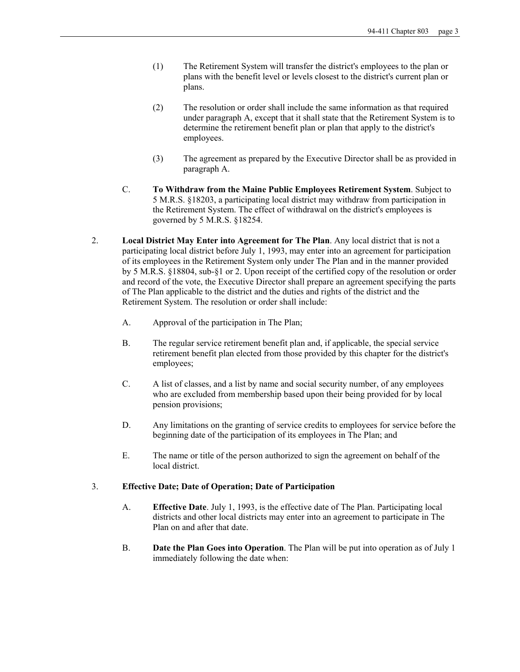- (1) The Retirement System will transfer the district's employees to the plan or plans with the benefit level or levels closest to the district's current plan or plans.
- (2) The resolution or order shall include the same information as that required under paragraph A, except that it shall state that the Retirement System is to determine the retirement benefit plan or plan that apply to the district's employees.
- (3) The agreement as prepared by the Executive Director shall be as provided in paragraph A.
- C. **To Withdraw from the Maine Public Employees Retirement System**. Subject to 5 M.R.S. §18203, a participating local district may withdraw from participation in the Retirement System. The effect of withdrawal on the district's employees is governed by 5 M.R.S. §18254.
- 2. **Local District May Enter into Agreement for The Plan**. Any local district that is not a participating local district before July 1, 1993, may enter into an agreement for participation of its employees in the Retirement System only under The Plan and in the manner provided by 5 M.R.S. §18804, sub-§1 or 2. Upon receipt of the certified copy of the resolution or order and record of the vote, the Executive Director shall prepare an agreement specifying the parts of The Plan applicable to the district and the duties and rights of the district and the Retirement System. The resolution or order shall include:
	- A. Approval of the participation in The Plan;
	- B. The regular service retirement benefit plan and, if applicable, the special service retirement benefit plan elected from those provided by this chapter for the district's employees;
	- C. A list of classes, and a list by name and social security number, of any employees who are excluded from membership based upon their being provided for by local pension provisions;
	- D. Any limitations on the granting of service credits to employees for service before the beginning date of the participation of its employees in The Plan; and
	- E. The name or title of the person authorized to sign the agreement on behalf of the local district.

## 3. **Effective Date; Date of Operation; Date of Participation**

- A. **Effective Date**. July 1, 1993, is the effective date of The Plan. Participating local districts and other local districts may enter into an agreement to participate in The Plan on and after that date.
- B. **Date the Plan Goes into Operation**. The Plan will be put into operation as of July 1 immediately following the date when: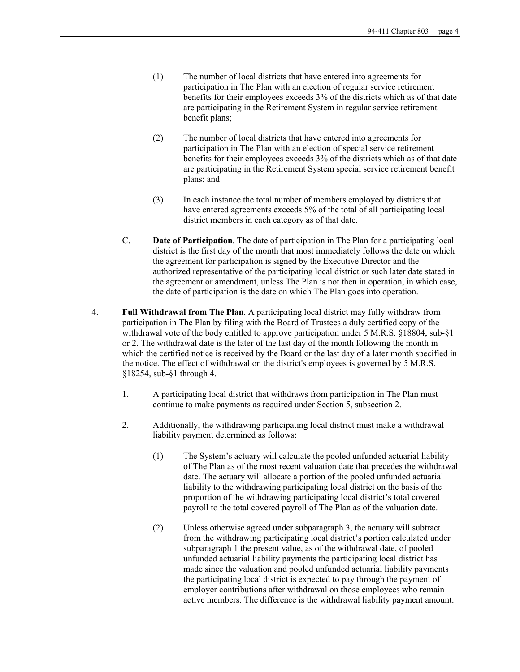- (1) The number of local districts that have entered into agreements for participation in The Plan with an election of regular service retirement benefits for their employees exceeds 3% of the districts which as of that date are participating in the Retirement System in regular service retirement benefit plans;
- (2) The number of local districts that have entered into agreements for participation in The Plan with an election of special service retirement benefits for their employees exceeds 3% of the districts which as of that date are participating in the Retirement System special service retirement benefit plans; and
- (3) In each instance the total number of members employed by districts that have entered agreements exceeds 5% of the total of all participating local district members in each category as of that date.
- C. **Date of Participation**. The date of participation in The Plan for a participating local district is the first day of the month that most immediately follows the date on which the agreement for participation is signed by the Executive Director and the authorized representative of the participating local district or such later date stated in the agreement or amendment, unless The Plan is not then in operation, in which case, the date of participation is the date on which The Plan goes into operation.
- 4. **Full Withdrawal from The Plan**. A participating local district may fully withdraw from participation in The Plan by filing with the Board of Trustees a duly certified copy of the withdrawal vote of the body entitled to approve participation under 5 M.R.S. §18804, sub-§1 or 2. The withdrawal date is the later of the last day of the month following the month in which the certified notice is received by the Board or the last day of a later month specified in the notice. The effect of withdrawal on the district's employees is governed by 5 M.R.S. §18254, sub-§1 through 4.
	- 1. A participating local district that withdraws from participation in The Plan must continue to make payments as required under Section 5, subsection 2.
	- 2. Additionally, the withdrawing participating local district must make a withdrawal liability payment determined as follows:
		- (1) The System's actuary will calculate the pooled unfunded actuarial liability of The Plan as of the most recent valuation date that precedes the withdrawal date. The actuary will allocate a portion of the pooled unfunded actuarial liability to the withdrawing participating local district on the basis of the proportion of the withdrawing participating local district's total covered payroll to the total covered payroll of The Plan as of the valuation date.
		- (2) Unless otherwise agreed under subparagraph 3, the actuary will subtract from the withdrawing participating local district's portion calculated under subparagraph 1 the present value, as of the withdrawal date, of pooled unfunded actuarial liability payments the participating local district has made since the valuation and pooled unfunded actuarial liability payments the participating local district is expected to pay through the payment of employer contributions after withdrawal on those employees who remain active members. The difference is the withdrawal liability payment amount.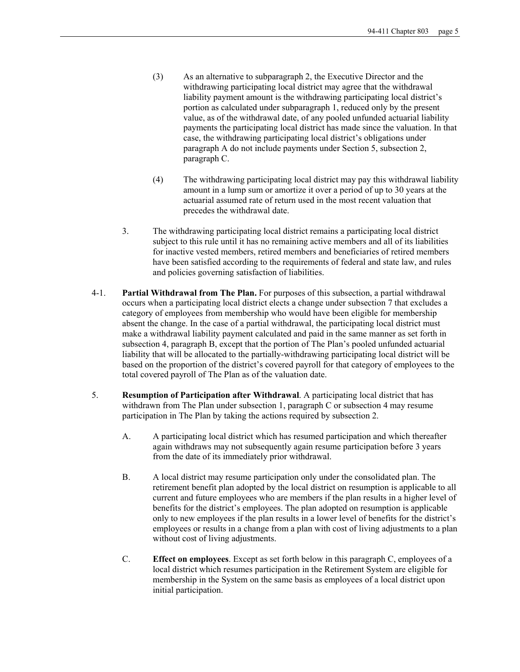- (3) As an alternative to subparagraph 2, the Executive Director and the withdrawing participating local district may agree that the withdrawal liability payment amount is the withdrawing participating local district's portion as calculated under subparagraph 1, reduced only by the present value, as of the withdrawal date, of any pooled unfunded actuarial liability payments the participating local district has made since the valuation. In that case, the withdrawing participating local district's obligations under paragraph A do not include payments under Section 5, subsection 2, paragraph C.
- (4) The withdrawing participating local district may pay this withdrawal liability amount in a lump sum or amortize it over a period of up to 30 years at the actuarial assumed rate of return used in the most recent valuation that precedes the withdrawal date.
- 3. The withdrawing participating local district remains a participating local district subject to this rule until it has no remaining active members and all of its liabilities for inactive vested members, retired members and beneficiaries of retired members have been satisfied according to the requirements of federal and state law, and rules and policies governing satisfaction of liabilities.
- 4-1. **Partial Withdrawal from The Plan.** For purposes of this subsection, a partial withdrawal occurs when a participating local district elects a change under subsection 7 that excludes a category of employees from membership who would have been eligible for membership absent the change. In the case of a partial withdrawal, the participating local district must make a withdrawal liability payment calculated and paid in the same manner as set forth in subsection 4, paragraph B, except that the portion of The Plan's pooled unfunded actuarial liability that will be allocated to the partially-withdrawing participating local district will be based on the proportion of the district's covered payroll for that category of employees to the total covered payroll of The Plan as of the valuation date.
- 5. **Resumption of Participation after Withdrawal**. A participating local district that has withdrawn from The Plan under subsection 1, paragraph C or subsection 4 may resume participation in The Plan by taking the actions required by subsection 2.
	- A. A participating local district which has resumed participation and which thereafter again withdraws may not subsequently again resume participation before 3 years from the date of its immediately prior withdrawal.
	- B. A local district may resume participation only under the consolidated plan. The retirement benefit plan adopted by the local district on resumption is applicable to all current and future employees who are members if the plan results in a higher level of benefits for the district's employees. The plan adopted on resumption is applicable only to new employees if the plan results in a lower level of benefits for the district's employees or results in a change from a plan with cost of living adjustments to a plan without cost of living adjustments.
	- C. **Effect on employees**. Except as set forth below in this paragraph C, employees of a local district which resumes participation in the Retirement System are eligible for membership in the System on the same basis as employees of a local district upon initial participation.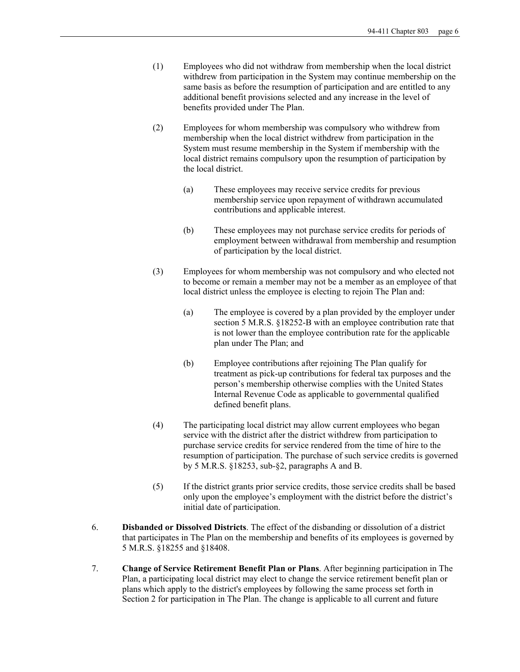- (1) Employees who did not withdraw from membership when the local district withdrew from participation in the System may continue membership on the same basis as before the resumption of participation and are entitled to any additional benefit provisions selected and any increase in the level of benefits provided under The Plan.
- (2) Employees for whom membership was compulsory who withdrew from membership when the local district withdrew from participation in the System must resume membership in the System if membership with the local district remains compulsory upon the resumption of participation by the local district.
	- (a) These employees may receive service credits for previous membership service upon repayment of withdrawn accumulated contributions and applicable interest.
	- (b) These employees may not purchase service credits for periods of employment between withdrawal from membership and resumption of participation by the local district.
- (3) Employees for whom membership was not compulsory and who elected not to become or remain a member may not be a member as an employee of that local district unless the employee is electing to rejoin The Plan and:
	- (a) The employee is covered by a plan provided by the employer under section 5 M.R.S. §18252-B with an employee contribution rate that is not lower than the employee contribution rate for the applicable plan under The Plan; and
	- (b) Employee contributions after rejoining The Plan qualify for treatment as pick-up contributions for federal tax purposes and the person's membership otherwise complies with the United States Internal Revenue Code as applicable to governmental qualified defined benefit plans.
- (4) The participating local district may allow current employees who began service with the district after the district withdrew from participation to purchase service credits for service rendered from the time of hire to the resumption of participation. The purchase of such service credits is governed by 5 M.R.S. §18253, sub-§2, paragraphs A and B.
- (5) If the district grants prior service credits, those service credits shall be based only upon the employee's employment with the district before the district's initial date of participation.
- 6. **Disbanded or Dissolved Districts**. The effect of the disbanding or dissolution of a district that participates in The Plan on the membership and benefits of its employees is governed by 5 M.R.S. §18255 and §18408.
- 7. **Change of Service Retirement Benefit Plan or Plans**. After beginning participation in The Plan, a participating local district may elect to change the service retirement benefit plan or plans which apply to the district's employees by following the same process set forth in Section 2 for participation in The Plan. The change is applicable to all current and future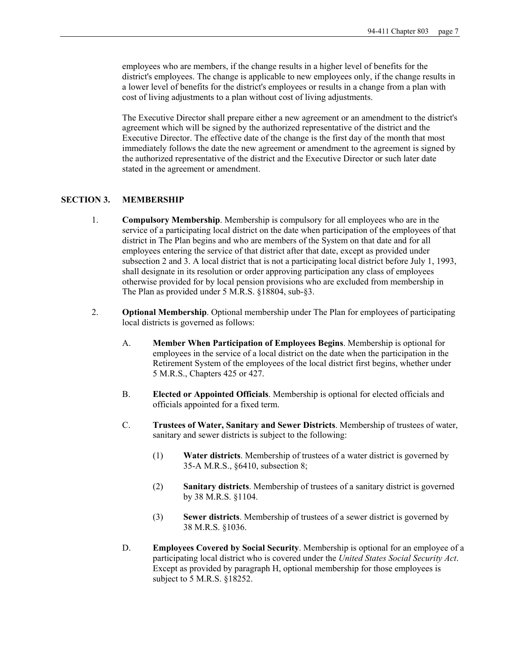employees who are members, if the change results in a higher level of benefits for the district's employees. The change is applicable to new employees only, if the change results in a lower level of benefits for the district's employees or results in a change from a plan with cost of living adjustments to a plan without cost of living adjustments.

 The Executive Director shall prepare either a new agreement or an amendment to the district's agreement which will be signed by the authorized representative of the district and the Executive Director. The effective date of the change is the first day of the month that most immediately follows the date the new agreement or amendment to the agreement is signed by the authorized representative of the district and the Executive Director or such later date stated in the agreement or amendment.

### **SECTION 3. MEMBERSHIP**

- 1. **Compulsory Membership**. Membership is compulsory for all employees who are in the service of a participating local district on the date when participation of the employees of that district in The Plan begins and who are members of the System on that date and for all employees entering the service of that district after that date, except as provided under subsection 2 and 3. A local district that is not a participating local district before July 1, 1993, shall designate in its resolution or order approving participation any class of employees otherwise provided for by local pension provisions who are excluded from membership in The Plan as provided under 5 M.R.S. §18804, sub-§3.
- 2. **Optional Membership**. Optional membership under The Plan for employees of participating local districts is governed as follows:
	- A. **Member When Participation of Employees Begins**. Membership is optional for employees in the service of a local district on the date when the participation in the Retirement System of the employees of the local district first begins, whether under 5 M.R.S., Chapters 425 or 427.
	- B. **Elected or Appointed Officials**. Membership is optional for elected officials and officials appointed for a fixed term.
	- C. **Trustees of Water, Sanitary and Sewer Districts**. Membership of trustees of water, sanitary and sewer districts is subject to the following:
		- (1) **Water districts**. Membership of trustees of a water district is governed by 35-A M.R.S., §6410, subsection 8;
		- (2) **Sanitary districts**. Membership of trustees of a sanitary district is governed by 38 M.R.S. §1104.
		- (3) **Sewer districts**. Membership of trustees of a sewer district is governed by 38 M.R.S. §1036.
	- D. **Employees Covered by Social Security**. Membership is optional for an employee of a participating local district who is covered under the *United States Social Security Act*. Except as provided by paragraph H, optional membership for those employees is subject to 5 M.R.S. §18252.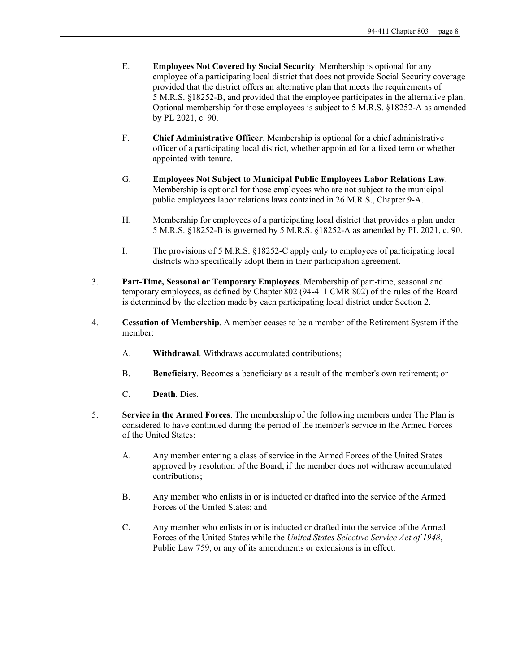- E. **Employees Not Covered by Social Security**. Membership is optional for any employee of a participating local district that does not provide Social Security coverage provided that the district offers an alternative plan that meets the requirements of 5 M.R.S. §18252-B, and provided that the employee participates in the alternative plan. Optional membership for those employees is subject to 5 M.R.S. §18252-A as amended by PL 2021, c. 90.
- F. **Chief Administrative Officer**. Membership is optional for a chief administrative officer of a participating local district, whether appointed for a fixed term or whether appointed with tenure.
- G. **Employees Not Subject to Municipal Public Employees Labor Relations Law**. Membership is optional for those employees who are not subject to the municipal public employees labor relations laws contained in 26 M.R.S., Chapter 9-A.
- H. Membership for employees of a participating local district that provides a plan under 5 M.R.S. §18252-B is governed by 5 M.R.S. §18252-A as amended by PL 2021, c. 90.
- I. The provisions of 5 M.R.S. §18252-C apply only to employees of participating local districts who specifically adopt them in their participation agreement.
- 3. **Part-Time, Seasonal or Temporary Employees**. Membership of part-time, seasonal and temporary employees, as defined by Chapter 802 (94-411 CMR 802) of the rules of the Board is determined by the election made by each participating local district under Section 2.
- 4. **Cessation of Membership**. A member ceases to be a member of the Retirement System if the member:
	- A. **Withdrawal**. Withdraws accumulated contributions;
	- B. **Beneficiary**. Becomes a beneficiary as a result of the member's own retirement; or
	- C. **Death**. Dies.
- 5. **Service in the Armed Forces**. The membership of the following members under The Plan is considered to have continued during the period of the member's service in the Armed Forces of the United States:
	- A. Any member entering a class of service in the Armed Forces of the United States approved by resolution of the Board, if the member does not withdraw accumulated contributions;
	- B. Any member who enlists in or is inducted or drafted into the service of the Armed Forces of the United States; and
	- C. Any member who enlists in or is inducted or drafted into the service of the Armed Forces of the United States while the *United States Selective Service Act of 1948*, Public Law 759, or any of its amendments or extensions is in effect.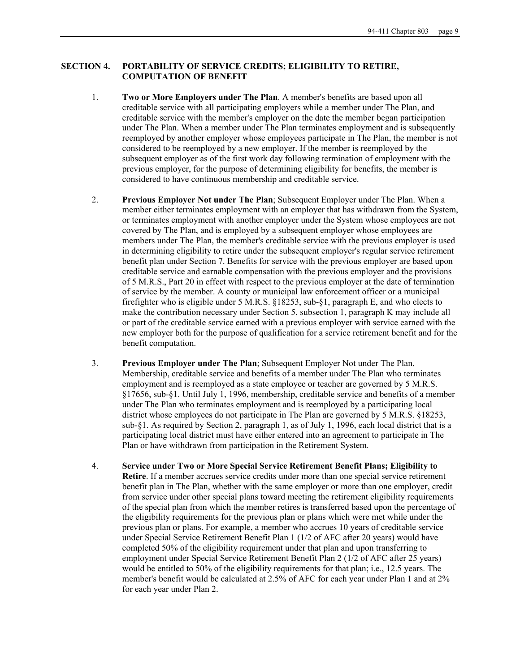## **SECTION 4. PORTABILITY OF SERVICE CREDITS; ELIGIBILITY TO RETIRE, COMPUTATION OF BENEFIT**

- 1. **Two or More Employers under The Plan**. A member's benefits are based upon all creditable service with all participating employers while a member under The Plan, and creditable service with the member's employer on the date the member began participation under The Plan. When a member under The Plan terminates employment and is subsequently reemployed by another employer whose employees participate in The Plan, the member is not considered to be reemployed by a new employer. If the member is reemployed by the subsequent employer as of the first work day following termination of employment with the previous employer, for the purpose of determining eligibility for benefits, the member is considered to have continuous membership and creditable service.
- 2. **Previous Employer Not under The Plan**; Subsequent Employer under The Plan. When a member either terminates employment with an employer that has withdrawn from the System, or terminates employment with another employer under the System whose employees are not covered by The Plan, and is employed by a subsequent employer whose employees are members under The Plan, the member's creditable service with the previous employer is used in determining eligibility to retire under the subsequent employer's regular service retirement benefit plan under Section 7. Benefits for service with the previous employer are based upon creditable service and earnable compensation with the previous employer and the provisions of 5 M.R.S., Part 20 in effect with respect to the previous employer at the date of termination of service by the member. A county or municipal law enforcement officer or a municipal firefighter who is eligible under 5 M.R.S. §18253, sub-§1, paragraph E, and who elects to make the contribution necessary under Section 5, subsection 1, paragraph K may include all or part of the creditable service earned with a previous employer with service earned with the new employer both for the purpose of qualification for a service retirement benefit and for the benefit computation.
- 3. **Previous Employer under The Plan**; Subsequent Employer Not under The Plan. Membership, creditable service and benefits of a member under The Plan who terminates employment and is reemployed as a state employee or teacher are governed by 5 M.R.S. §17656, sub-§1. Until July 1, 1996, membership, creditable service and benefits of a member under The Plan who terminates employment and is reemployed by a participating local district whose employees do not participate in The Plan are governed by 5 M.R.S. §18253, sub-§1. As required by Section 2, paragraph 1, as of July 1, 1996, each local district that is a participating local district must have either entered into an agreement to participate in The Plan or have withdrawn from participation in the Retirement System.
- 4. **Service under Two or More Special Service Retirement Benefit Plans; Eligibility to Retire**. If a member accrues service credits under more than one special service retirement benefit plan in The Plan, whether with the same employer or more than one employer, credit from service under other special plans toward meeting the retirement eligibility requirements of the special plan from which the member retires is transferred based upon the percentage of the eligibility requirements for the previous plan or plans which were met while under the previous plan or plans. For example, a member who accrues 10 years of creditable service under Special Service Retirement Benefit Plan 1 (1/2 of AFC after 20 years) would have completed 50% of the eligibility requirement under that plan and upon transferring to employment under Special Service Retirement Benefit Plan 2 (1/2 of AFC after 25 years) would be entitled to 50% of the eligibility requirements for that plan; i.e., 12.5 years. The member's benefit would be calculated at 2.5% of AFC for each year under Plan 1 and at 2% for each year under Plan 2.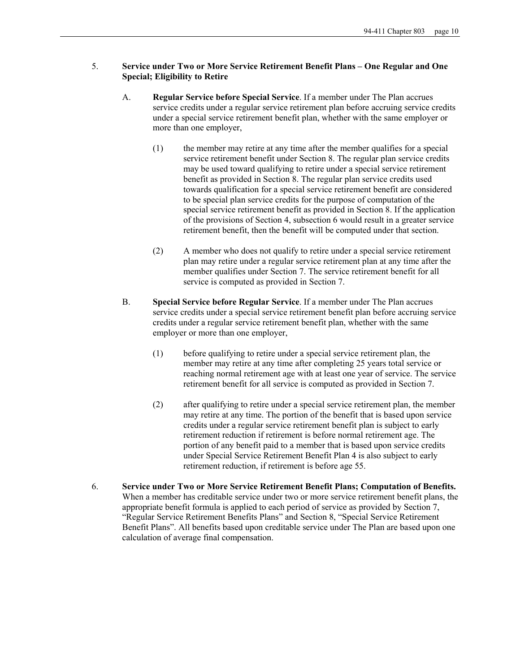## 5. **Service under Two or More Service Retirement Benefit Plans – One Regular and One Special; Eligibility to Retire**

- A. **Regular Service before Special Service**. If a member under The Plan accrues service credits under a regular service retirement plan before accruing service credits under a special service retirement benefit plan, whether with the same employer or more than one employer,
	- (1) the member may retire at any time after the member qualifies for a special service retirement benefit under Section 8. The regular plan service credits may be used toward qualifying to retire under a special service retirement benefit as provided in Section 8. The regular plan service credits used towards qualification for a special service retirement benefit are considered to be special plan service credits for the purpose of computation of the special service retirement benefit as provided in Section 8. If the application of the provisions of Section 4, subsection 6 would result in a greater service retirement benefit, then the benefit will be computed under that section.
	- (2) A member who does not qualify to retire under a special service retirement plan may retire under a regular service retirement plan at any time after the member qualifies under Section 7. The service retirement benefit for all service is computed as provided in Section 7.
- B. **Special Service before Regular Service**. If a member under The Plan accrues service credits under a special service retirement benefit plan before accruing service credits under a regular service retirement benefit plan, whether with the same employer or more than one employer,
	- (1) before qualifying to retire under a special service retirement plan, the member may retire at any time after completing 25 years total service or reaching normal retirement age with at least one year of service. The service retirement benefit for all service is computed as provided in Section 7.
	- (2) after qualifying to retire under a special service retirement plan, the member may retire at any time. The portion of the benefit that is based upon service credits under a regular service retirement benefit plan is subject to early retirement reduction if retirement is before normal retirement age. The portion of any benefit paid to a member that is based upon service credits under Special Service Retirement Benefit Plan 4 is also subject to early retirement reduction, if retirement is before age 55.
- 6. **Service under Two or More Service Retirement Benefit Plans; Computation of Benefits.** When a member has creditable service under two or more service retirement benefit plans, the appropriate benefit formula is applied to each period of service as provided by Section 7, "Regular Service Retirement Benefits Plans" and Section 8, "Special Service Retirement Benefit Plans". All benefits based upon creditable service under The Plan are based upon one calculation of average final compensation.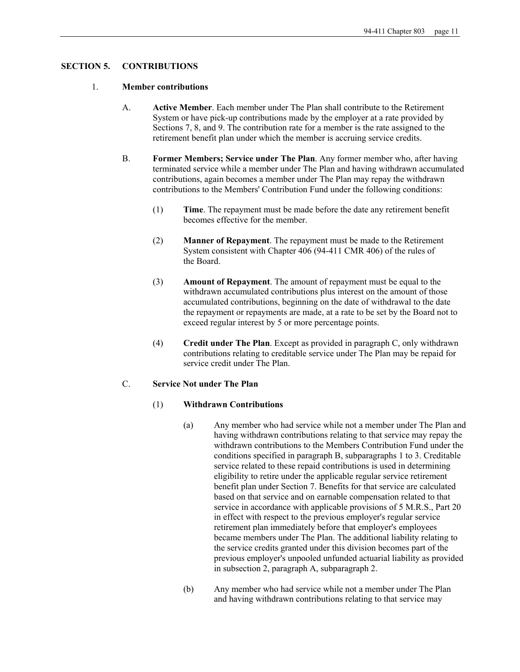## **SECTION 5. CONTRIBUTIONS**

### 1. **Member contributions**

- A. **Active Member**. Each member under The Plan shall contribute to the Retirement System or have pick-up contributions made by the employer at a rate provided by Sections 7, 8, and 9. The contribution rate for a member is the rate assigned to the retirement benefit plan under which the member is accruing service credits.
- B. **Former Members; Service under The Plan**. Any former member who, after having terminated service while a member under The Plan and having withdrawn accumulated contributions, again becomes a member under The Plan may repay the withdrawn contributions to the Members' Contribution Fund under the following conditions:
	- (1) **Time**. The repayment must be made before the date any retirement benefit becomes effective for the member.
	- (2) **Manner of Repayment**. The repayment must be made to the Retirement System consistent with Chapter 406 (94-411 CMR 406) of the rules of the Board.
	- (3) **Amount of Repayment**. The amount of repayment must be equal to the withdrawn accumulated contributions plus interest on the amount of those accumulated contributions, beginning on the date of withdrawal to the date the repayment or repayments are made, at a rate to be set by the Board not to exceed regular interest by 5 or more percentage points.
	- (4) **Credit under The Plan**. Except as provided in paragraph C, only withdrawn contributions relating to creditable service under The Plan may be repaid for service credit under The Plan.

## C. **Service Not under The Plan**

## (1) **Withdrawn Contributions**

- (a) Any member who had service while not a member under The Plan and having withdrawn contributions relating to that service may repay the withdrawn contributions to the Members Contribution Fund under the conditions specified in paragraph B, subparagraphs 1 to 3. Creditable service related to these repaid contributions is used in determining eligibility to retire under the applicable regular service retirement benefit plan under Section 7. Benefits for that service are calculated based on that service and on earnable compensation related to that service in accordance with applicable provisions of 5 M.R.S., Part 20 in effect with respect to the previous employer's regular service retirement plan immediately before that employer's employees became members under The Plan. The additional liability relating to the service credits granted under this division becomes part of the previous employer's unpooled unfunded actuarial liability as provided in subsection 2, paragraph A, subparagraph 2.
- (b) Any member who had service while not a member under The Plan and having withdrawn contributions relating to that service may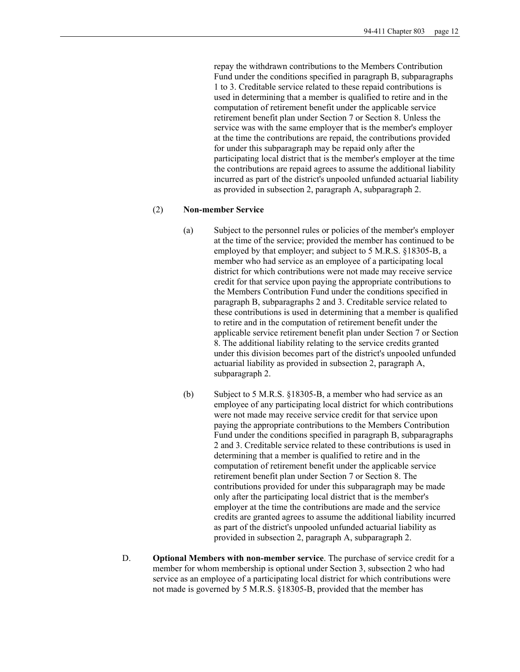repay the withdrawn contributions to the Members Contribution Fund under the conditions specified in paragraph B, subparagraphs 1 to 3. Creditable service related to these repaid contributions is used in determining that a member is qualified to retire and in the computation of retirement benefit under the applicable service retirement benefit plan under Section 7 or Section 8. Unless the service was with the same employer that is the member's employer at the time the contributions are repaid, the contributions provided for under this subparagraph may be repaid only after the participating local district that is the member's employer at the time the contributions are repaid agrees to assume the additional liability incurred as part of the district's unpooled unfunded actuarial liability as provided in subsection 2, paragraph A, subparagraph 2.

### (2) **Non-member Service**

- (a) Subject to the personnel rules or policies of the member's employer at the time of the service; provided the member has continued to be employed by that employer; and subject to 5 M.R.S. §18305-B, a member who had service as an employee of a participating local district for which contributions were not made may receive service credit for that service upon paying the appropriate contributions to the Members Contribution Fund under the conditions specified in paragraph B, subparagraphs 2 and 3. Creditable service related to these contributions is used in determining that a member is qualified to retire and in the computation of retirement benefit under the applicable service retirement benefit plan under Section 7 or Section 8. The additional liability relating to the service credits granted under this division becomes part of the district's unpooled unfunded actuarial liability as provided in subsection 2, paragraph A, subparagraph 2.
- (b) Subject to 5 M.R.S. §18305-B, a member who had service as an employee of any participating local district for which contributions were not made may receive service credit for that service upon paying the appropriate contributions to the Members Contribution Fund under the conditions specified in paragraph B, subparagraphs 2 and 3. Creditable service related to these contributions is used in determining that a member is qualified to retire and in the computation of retirement benefit under the applicable service retirement benefit plan under Section 7 or Section 8. The contributions provided for under this subparagraph may be made only after the participating local district that is the member's employer at the time the contributions are made and the service credits are granted agrees to assume the additional liability incurred as part of the district's unpooled unfunded actuarial liability as provided in subsection 2, paragraph A, subparagraph 2.
- D. **Optional Members with non-member service**. The purchase of service credit for a member for whom membership is optional under Section 3, subsection 2 who had service as an employee of a participating local district for which contributions were not made is governed by 5 M.R.S. §18305-B, provided that the member has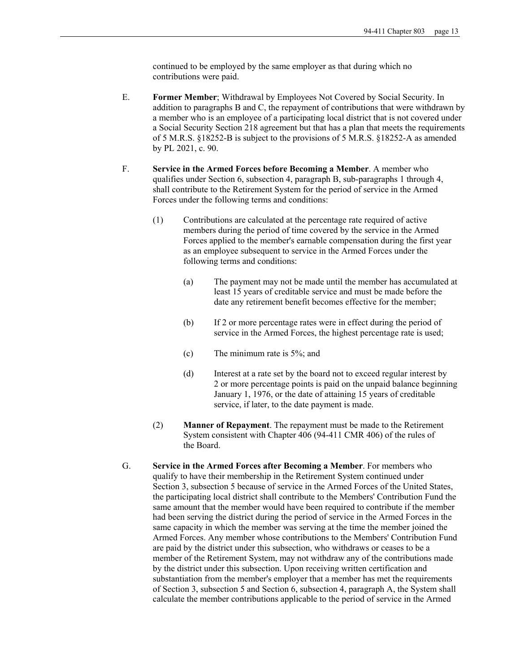continued to be employed by the same employer as that during which no contributions were paid.

- E. **Former Member**; Withdrawal by Employees Not Covered by Social Security. In addition to paragraphs B and C, the repayment of contributions that were withdrawn by a member who is an employee of a participating local district that is not covered under a Social Security Section 218 agreement but that has a plan that meets the requirements of 5 M.R.S. §18252-B is subject to the provisions of 5 M.R.S. §18252-A as amended by PL 2021, c. 90.
- F. **Service in the Armed Forces before Becoming a Member**. A member who qualifies under Section 6, subsection 4, paragraph B, sub-paragraphs 1 through 4, shall contribute to the Retirement System for the period of service in the Armed Forces under the following terms and conditions:
	- (1) Contributions are calculated at the percentage rate required of active members during the period of time covered by the service in the Armed Forces applied to the member's earnable compensation during the first year as an employee subsequent to service in the Armed Forces under the following terms and conditions:
		- (a) The payment may not be made until the member has accumulated at least 15 years of creditable service and must be made before the date any retirement benefit becomes effective for the member;
		- (b) If 2 or more percentage rates were in effect during the period of service in the Armed Forces, the highest percentage rate is used;
		- (c) The minimum rate is 5%; and
		- (d) Interest at a rate set by the board not to exceed regular interest by 2 or more percentage points is paid on the unpaid balance beginning January 1, 1976, or the date of attaining 15 years of creditable service, if later, to the date payment is made.
	- (2) **Manner of Repayment**. The repayment must be made to the Retirement System consistent with Chapter 406 (94-411 CMR 406) of the rules of the Board.
- G. **Service in the Armed Forces after Becoming a Member**. For members who qualify to have their membership in the Retirement System continued under Section 3, subsection 5 because of service in the Armed Forces of the United States, the participating local district shall contribute to the Members' Contribution Fund the same amount that the member would have been required to contribute if the member had been serving the district during the period of service in the Armed Forces in the same capacity in which the member was serving at the time the member joined the Armed Forces. Any member whose contributions to the Members' Contribution Fund are paid by the district under this subsection, who withdraws or ceases to be a member of the Retirement System, may not withdraw any of the contributions made by the district under this subsection. Upon receiving written certification and substantiation from the member's employer that a member has met the requirements of Section 3, subsection 5 and Section 6, subsection 4, paragraph A, the System shall calculate the member contributions applicable to the period of service in the Armed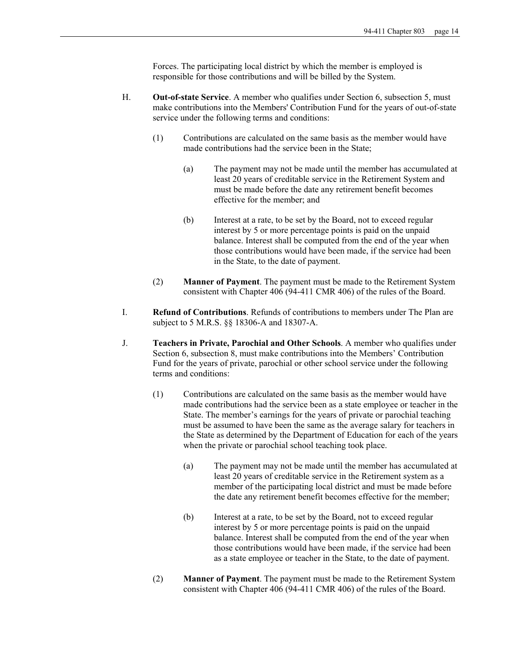Forces. The participating local district by which the member is employed is responsible for those contributions and will be billed by the System.

- H. **Out-of-state Service**. A member who qualifies under Section 6, subsection 5, must make contributions into the Members' Contribution Fund for the years of out-of-state service under the following terms and conditions:
	- (1) Contributions are calculated on the same basis as the member would have made contributions had the service been in the State;
		- (a) The payment may not be made until the member has accumulated at least 20 years of creditable service in the Retirement System and must be made before the date any retirement benefit becomes effective for the member; and
		- (b) Interest at a rate, to be set by the Board, not to exceed regular interest by 5 or more percentage points is paid on the unpaid balance. Interest shall be computed from the end of the year when those contributions would have been made, if the service had been in the State, to the date of payment.
	- (2) **Manner of Payment**. The payment must be made to the Retirement System consistent with Chapter 406 (94-411 CMR 406) of the rules of the Board.
- I. **Refund of Contributions**. Refunds of contributions to members under The Plan are subject to 5 M.R.S. §§ 18306-A and 18307-A.
- J. **Teachers in Private, Parochial and Other Schools**. A member who qualifies under Section 6, subsection 8, must make contributions into the Members' Contribution Fund for the years of private, parochial or other school service under the following terms and conditions:
	- (1) Contributions are calculated on the same basis as the member would have made contributions had the service been as a state employee or teacher in the State. The member's earnings for the years of private or parochial teaching must be assumed to have been the same as the average salary for teachers in the State as determined by the Department of Education for each of the years when the private or parochial school teaching took place.
		- (a) The payment may not be made until the member has accumulated at least 20 years of creditable service in the Retirement system as a member of the participating local district and must be made before the date any retirement benefit becomes effective for the member;
		- (b) Interest at a rate, to be set by the Board, not to exceed regular interest by 5 or more percentage points is paid on the unpaid balance. Interest shall be computed from the end of the year when those contributions would have been made, if the service had been as a state employee or teacher in the State, to the date of payment.
	- (2) **Manner of Payment**. The payment must be made to the Retirement System consistent with Chapter 406 (94-411 CMR 406) of the rules of the Board.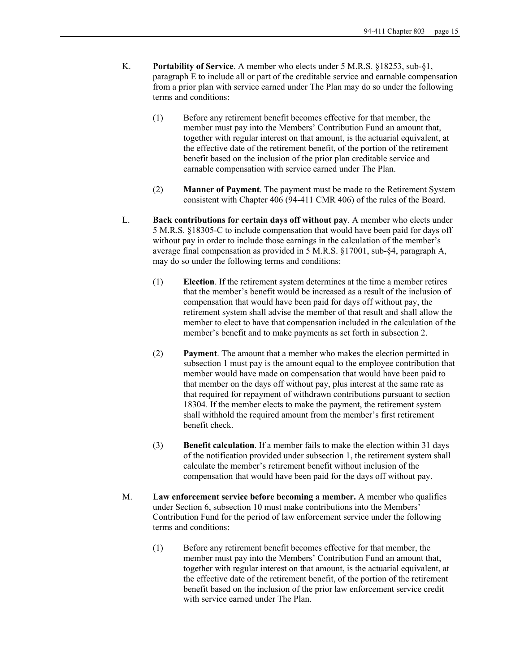- K. **Portability of Service**. A member who elects under 5 M.R.S. §18253, sub-§1, paragraph E to include all or part of the creditable service and earnable compensation from a prior plan with service earned under The Plan may do so under the following terms and conditions:
	- (1) Before any retirement benefit becomes effective for that member, the member must pay into the Members' Contribution Fund an amount that, together with regular interest on that amount, is the actuarial equivalent, at the effective date of the retirement benefit, of the portion of the retirement benefit based on the inclusion of the prior plan creditable service and earnable compensation with service earned under The Plan.
	- (2) **Manner of Payment**. The payment must be made to the Retirement System consistent with Chapter 406 (94-411 CMR 406) of the rules of the Board.
- L. **Back contributions for certain days off without pay**. A member who elects under 5 M.R.S. §18305-C to include compensation that would have been paid for days off without pay in order to include those earnings in the calculation of the member's average final compensation as provided in 5 M.R.S. §17001, sub-§4, paragraph A, may do so under the following terms and conditions:
	- (1) **Election**. If the retirement system determines at the time a member retires that the member's benefit would be increased as a result of the inclusion of compensation that would have been paid for days off without pay, the retirement system shall advise the member of that result and shall allow the member to elect to have that compensation included in the calculation of the member's benefit and to make payments as set forth in subsection 2.
	- (2) **Payment**. The amount that a member who makes the election permitted in subsection 1 must pay is the amount equal to the employee contribution that member would have made on compensation that would have been paid to that member on the days off without pay, plus interest at the same rate as that required for repayment of withdrawn contributions pursuant to section 18304. If the member elects to make the payment, the retirement system shall withhold the required amount from the member's first retirement benefit check.
	- (3) **Benefit calculation**. If a member fails to make the election within 31 days of the notification provided under subsection 1, the retirement system shall calculate the member's retirement benefit without inclusion of the compensation that would have been paid for the days off without pay.
- M. **Law enforcement service before becoming a member.** A member who qualifies under Section 6, subsection 10 must make contributions into the Members' Contribution Fund for the period of law enforcement service under the following terms and conditions:
	- (1) Before any retirement benefit becomes effective for that member, the member must pay into the Members' Contribution Fund an amount that, together with regular interest on that amount, is the actuarial equivalent, at the effective date of the retirement benefit, of the portion of the retirement benefit based on the inclusion of the prior law enforcement service credit with service earned under The Plan.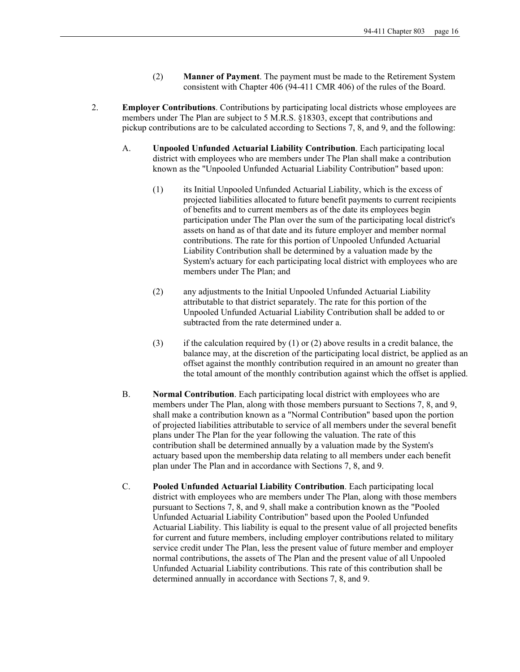- (2) **Manner of Payment**. The payment must be made to the Retirement System consistent with Chapter 406 (94-411 CMR 406) of the rules of the Board.
- 2. **Employer Contributions**. Contributions by participating local districts whose employees are members under The Plan are subject to 5 M.R.S. §18303, except that contributions and pickup contributions are to be calculated according to Sections 7, 8, and 9, and the following:
	- A. **Unpooled Unfunded Actuarial Liability Contribution**. Each participating local district with employees who are members under The Plan shall make a contribution known as the "Unpooled Unfunded Actuarial Liability Contribution" based upon:
		- (1) its Initial Unpooled Unfunded Actuarial Liability, which is the excess of projected liabilities allocated to future benefit payments to current recipients of benefits and to current members as of the date its employees begin participation under The Plan over the sum of the participating local district's assets on hand as of that date and its future employer and member normal contributions. The rate for this portion of Unpooled Unfunded Actuarial Liability Contribution shall be determined by a valuation made by the System's actuary for each participating local district with employees who are members under The Plan; and
		- (2) any adjustments to the Initial Unpooled Unfunded Actuarial Liability attributable to that district separately. The rate for this portion of the Unpooled Unfunded Actuarial Liability Contribution shall be added to or subtracted from the rate determined under a.
		- (3) if the calculation required by  $(1)$  or  $(2)$  above results in a credit balance, the balance may, at the discretion of the participating local district, be applied as an offset against the monthly contribution required in an amount no greater than the total amount of the monthly contribution against which the offset is applied.
	- B. **Normal Contribution**. Each participating local district with employees who are members under The Plan, along with those members pursuant to Sections 7, 8, and 9, shall make a contribution known as a "Normal Contribution" based upon the portion of projected liabilities attributable to service of all members under the several benefit plans under The Plan for the year following the valuation. The rate of this contribution shall be determined annually by a valuation made by the System's actuary based upon the membership data relating to all members under each benefit plan under The Plan and in accordance with Sections 7, 8, and 9.
	- C. **Pooled Unfunded Actuarial Liability Contribution**. Each participating local district with employees who are members under The Plan, along with those members pursuant to Sections 7, 8, and 9, shall make a contribution known as the "Pooled Unfunded Actuarial Liability Contribution" based upon the Pooled Unfunded Actuarial Liability. This liability is equal to the present value of all projected benefits for current and future members, including employer contributions related to military service credit under The Plan, less the present value of future member and employer normal contributions, the assets of The Plan and the present value of all Unpooled Unfunded Actuarial Liability contributions. This rate of this contribution shall be determined annually in accordance with Sections 7, 8, and 9.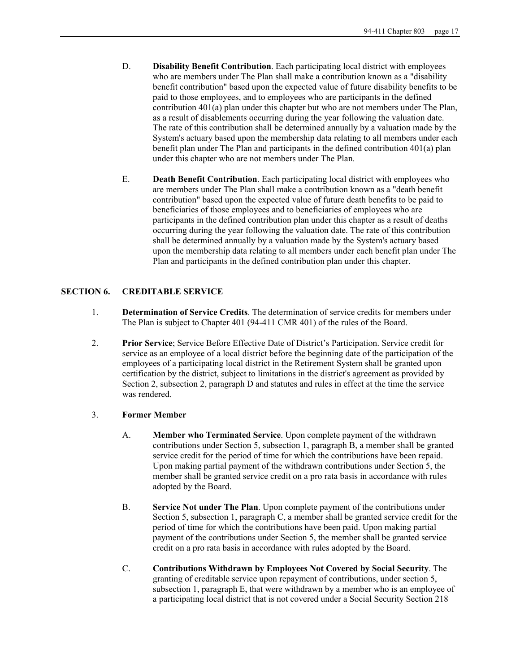- D. **Disability Benefit Contribution**. Each participating local district with employees who are members under The Plan shall make a contribution known as a "disability benefit contribution" based upon the expected value of future disability benefits to be paid to those employees, and to employees who are participants in the defined contribution 401(a) plan under this chapter but who are not members under The Plan, as a result of disablements occurring during the year following the valuation date. The rate of this contribution shall be determined annually by a valuation made by the System's actuary based upon the membership data relating to all members under each benefit plan under The Plan and participants in the defined contribution 401(a) plan under this chapter who are not members under The Plan.
- E. **Death Benefit Contribution**. Each participating local district with employees who are members under The Plan shall make a contribution known as a "death benefit contribution" based upon the expected value of future death benefits to be paid to beneficiaries of those employees and to beneficiaries of employees who are participants in the defined contribution plan under this chapter as a result of deaths occurring during the year following the valuation date. The rate of this contribution shall be determined annually by a valuation made by the System's actuary based upon the membership data relating to all members under each benefit plan under The Plan and participants in the defined contribution plan under this chapter.

## **SECTION 6. CREDITABLE SERVICE**

- 1. **Determination of Service Credits**. The determination of service credits for members under The Plan is subject to Chapter 401 (94-411 CMR 401) of the rules of the Board.
- 2. **Prior Service**; Service Before Effective Date of District's Participation. Service credit for service as an employee of a local district before the beginning date of the participation of the employees of a participating local district in the Retirement System shall be granted upon certification by the district, subject to limitations in the district's agreement as provided by Section 2, subsection 2, paragraph D and statutes and rules in effect at the time the service was rendered.

## 3. **Former Member**

- A. **Member who Terminated Service**. Upon complete payment of the withdrawn contributions under Section 5, subsection 1, paragraph B, a member shall be granted service credit for the period of time for which the contributions have been repaid. Upon making partial payment of the withdrawn contributions under Section 5, the member shall be granted service credit on a pro rata basis in accordance with rules adopted by the Board.
- B. **Service Not under The Plan**. Upon complete payment of the contributions under Section 5, subsection 1, paragraph C, a member shall be granted service credit for the period of time for which the contributions have been paid. Upon making partial payment of the contributions under Section 5, the member shall be granted service credit on a pro rata basis in accordance with rules adopted by the Board.
- C. **Contributions Withdrawn by Employees Not Covered by Social Security**. The granting of creditable service upon repayment of contributions, under section 5, subsection 1, paragraph E, that were withdrawn by a member who is an employee of a participating local district that is not covered under a Social Security Section 218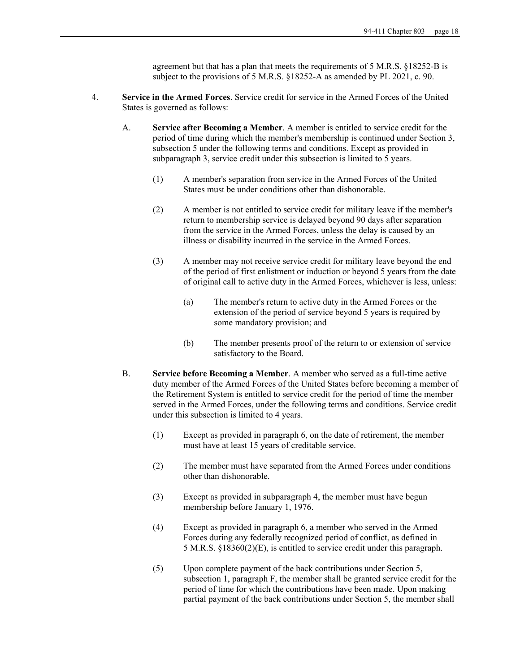agreement but that has a plan that meets the requirements of 5 M.R.S. §18252-B is subject to the provisions of 5 M.R.S. §18252-A as amended by PL 2021, c. 90.

- 4. **Service in the Armed Forces**. Service credit for service in the Armed Forces of the United States is governed as follows:
	- A. **Service after Becoming a Member**. A member is entitled to service credit for the period of time during which the member's membership is continued under Section 3, subsection 5 under the following terms and conditions. Except as provided in subparagraph 3, service credit under this subsection is limited to 5 years.
		- (1) A member's separation from service in the Armed Forces of the United States must be under conditions other than dishonorable.
		- (2) A member is not entitled to service credit for military leave if the member's return to membership service is delayed beyond 90 days after separation from the service in the Armed Forces, unless the delay is caused by an illness or disability incurred in the service in the Armed Forces.
		- (3) A member may not receive service credit for military leave beyond the end of the period of first enlistment or induction or beyond 5 years from the date of original call to active duty in the Armed Forces, whichever is less, unless:
			- (a) The member's return to active duty in the Armed Forces or the extension of the period of service beyond 5 years is required by some mandatory provision; and
			- (b) The member presents proof of the return to or extension of service satisfactory to the Board.
	- B. **Service before Becoming a Member**. A member who served as a full-time active duty member of the Armed Forces of the United States before becoming a member of the Retirement System is entitled to service credit for the period of time the member served in the Armed Forces, under the following terms and conditions. Service credit under this subsection is limited to 4 years.
		- (1) Except as provided in paragraph 6, on the date of retirement, the member must have at least 15 years of creditable service.
		- (2) The member must have separated from the Armed Forces under conditions other than dishonorable.
		- (3) Except as provided in subparagraph 4, the member must have begun membership before January 1, 1976.
		- (4) Except as provided in paragraph 6, a member who served in the Armed Forces during any federally recognized period of conflict, as defined in 5 M.R.S. §18360(2)(E), is entitled to service credit under this paragraph.
		- (5) Upon complete payment of the back contributions under Section 5, subsection 1, paragraph F, the member shall be granted service credit for the period of time for which the contributions have been made. Upon making partial payment of the back contributions under Section 5, the member shall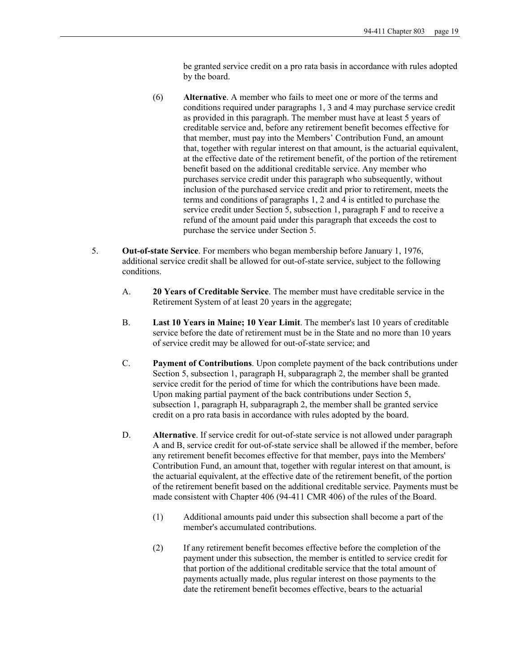be granted service credit on a pro rata basis in accordance with rules adopted by the board.

- (6) **Alternative**. A member who fails to meet one or more of the terms and conditions required under paragraphs 1, 3 and 4 may purchase service credit as provided in this paragraph. The member must have at least 5 years of creditable service and, before any retirement benefit becomes effective for that member, must pay into the Members' Contribution Fund, an amount that, together with regular interest on that amount, is the actuarial equivalent, at the effective date of the retirement benefit, of the portion of the retirement benefit based on the additional creditable service. Any member who purchases service credit under this paragraph who subsequently, without inclusion of the purchased service credit and prior to retirement, meets the terms and conditions of paragraphs 1, 2 and 4 is entitled to purchase the service credit under Section 5, subsection 1, paragraph F and to receive a refund of the amount paid under this paragraph that exceeds the cost to purchase the service under Section 5.
- 5. **Out-of-state Service**. For members who began membership before January 1, 1976, additional service credit shall be allowed for out-of-state service, subject to the following conditions.
	- A. **20 Years of Creditable Service**. The member must have creditable service in the Retirement System of at least 20 years in the aggregate;
	- B. **Last 10 Years in Maine; 10 Year Limit**. The member's last 10 years of creditable service before the date of retirement must be in the State and no more than 10 years of service credit may be allowed for out-of-state service; and
	- C. **Payment of Contributions**. Upon complete payment of the back contributions under Section 5, subsection 1, paragraph H, subparagraph 2, the member shall be granted service credit for the period of time for which the contributions have been made. Upon making partial payment of the back contributions under Section 5, subsection 1, paragraph H, subparagraph 2, the member shall be granted service credit on a pro rata basis in accordance with rules adopted by the board.
	- D. **Alternative**. If service credit for out-of-state service is not allowed under paragraph A and B, service credit for out-of-state service shall be allowed if the member, before any retirement benefit becomes effective for that member, pays into the Members' Contribution Fund, an amount that, together with regular interest on that amount, is the actuarial equivalent, at the effective date of the retirement benefit, of the portion of the retirement benefit based on the additional creditable service. Payments must be made consistent with Chapter 406 (94-411 CMR 406) of the rules of the Board.
		- (1) Additional amounts paid under this subsection shall become a part of the member's accumulated contributions.
		- (2) If any retirement benefit becomes effective before the completion of the payment under this subsection, the member is entitled to service credit for that portion of the additional creditable service that the total amount of payments actually made, plus regular interest on those payments to the date the retirement benefit becomes effective, bears to the actuarial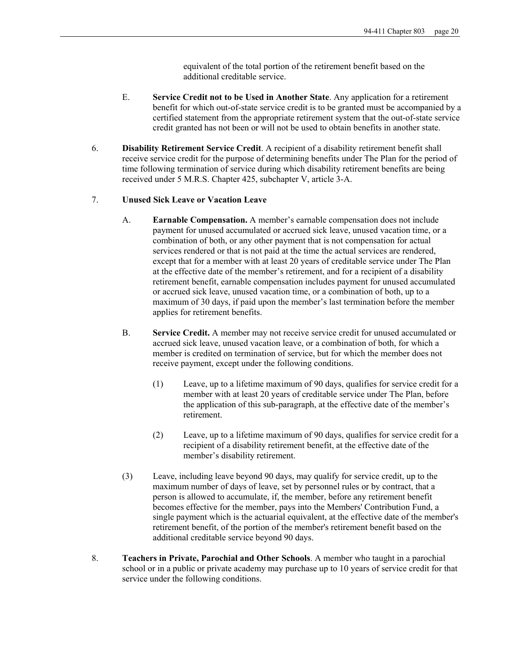equivalent of the total portion of the retirement benefit based on the additional creditable service.

- E. **Service Credit not to be Used in Another State**. Any application for a retirement benefit for which out-of-state service credit is to be granted must be accompanied by a certified statement from the appropriate retirement system that the out-of-state service credit granted has not been or will not be used to obtain benefits in another state.
- 6. **Disability Retirement Service Credit**. A recipient of a disability retirement benefit shall receive service credit for the purpose of determining benefits under The Plan for the period of time following termination of service during which disability retirement benefits are being received under 5 M.R.S. Chapter 425, subchapter V, article 3-A.

### 7. **Unused Sick Leave or Vacation Leave**

- A. **Earnable Compensation.** A member's earnable compensation does not include payment for unused accumulated or accrued sick leave, unused vacation time, or a combination of both, or any other payment that is not compensation for actual services rendered or that is not paid at the time the actual services are rendered, except that for a member with at least 20 years of creditable service under The Plan at the effective date of the member's retirement, and for a recipient of a disability retirement benefit, earnable compensation includes payment for unused accumulated or accrued sick leave, unused vacation time, or a combination of both, up to a maximum of 30 days, if paid upon the member's last termination before the member applies for retirement benefits.
- B. **Service Credit.** A member may not receive service credit for unused accumulated or accrued sick leave, unused vacation leave, or a combination of both, for which a member is credited on termination of service, but for which the member does not receive payment, except under the following conditions.
	- (1) Leave, up to a lifetime maximum of 90 days, qualifies for service credit for a member with at least 20 years of creditable service under The Plan, before the application of this sub-paragraph, at the effective date of the member's retirement.
	- (2) Leave, up to a lifetime maximum of 90 days, qualifies for service credit for a recipient of a disability retirement benefit, at the effective date of the member's disability retirement.
- (3) Leave, including leave beyond 90 days, may qualify for service credit, up to the maximum number of days of leave, set by personnel rules or by contract, that a person is allowed to accumulate, if, the member, before any retirement benefit becomes effective for the member, pays into the Members' Contribution Fund, a single payment which is the actuarial equivalent, at the effective date of the member's retirement benefit, of the portion of the member's retirement benefit based on the additional creditable service beyond 90 days.
- 8. **Teachers in Private, Parochial and Other Schools**. A member who taught in a parochial school or in a public or private academy may purchase up to 10 years of service credit for that service under the following conditions.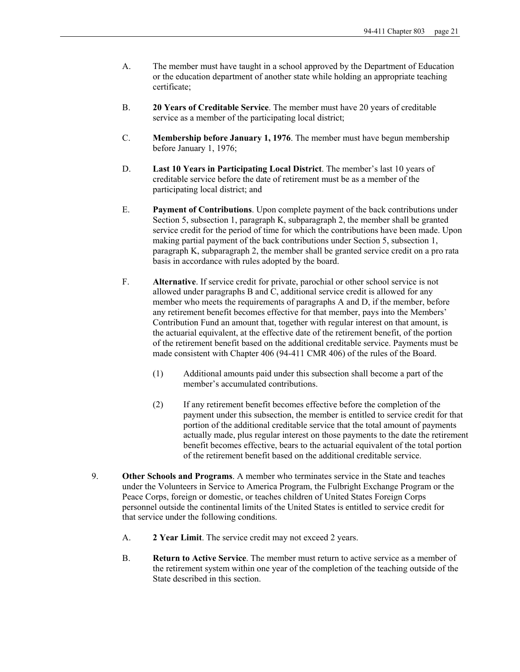- A. The member must have taught in a school approved by the Department of Education or the education department of another state while holding an appropriate teaching certificate;
- B. **20 Years of Creditable Service**. The member must have 20 years of creditable service as a member of the participating local district;
- C. **Membership before January 1, 1976**. The member must have begun membership before January 1, 1976;
- D. **Last 10 Years in Participating Local District**. The member's last 10 years of creditable service before the date of retirement must be as a member of the participating local district; and
- E. **Payment of Contributions**. Upon complete payment of the back contributions under Section 5, subsection 1, paragraph K, subparagraph 2, the member shall be granted service credit for the period of time for which the contributions have been made. Upon making partial payment of the back contributions under Section 5, subsection 1, paragraph K, subparagraph 2, the member shall be granted service credit on a pro rata basis in accordance with rules adopted by the board.
- F. **Alternative**. If service credit for private, parochial or other school service is not allowed under paragraphs B and C, additional service credit is allowed for any member who meets the requirements of paragraphs A and D, if the member, before any retirement benefit becomes effective for that member, pays into the Members' Contribution Fund an amount that, together with regular interest on that amount, is the actuarial equivalent, at the effective date of the retirement benefit, of the portion of the retirement benefit based on the additional creditable service. Payments must be made consistent with Chapter 406 (94-411 CMR 406) of the rules of the Board.
	- (1) Additional amounts paid under this subsection shall become a part of the member's accumulated contributions.
	- (2) If any retirement benefit becomes effective before the completion of the payment under this subsection, the member is entitled to service credit for that portion of the additional creditable service that the total amount of payments actually made, plus regular interest on those payments to the date the retirement benefit becomes effective, bears to the actuarial equivalent of the total portion of the retirement benefit based on the additional creditable service.
- 9. **Other Schools and Programs**. A member who terminates service in the State and teaches under the Volunteers in Service to America Program, the Fulbright Exchange Program or the Peace Corps, foreign or domestic, or teaches children of United States Foreign Corps personnel outside the continental limits of the United States is entitled to service credit for that service under the following conditions.
	- A. **2 Year Limit**. The service credit may not exceed 2 years.
	- B. **Return to Active Service**. The member must return to active service as a member of the retirement system within one year of the completion of the teaching outside of the State described in this section.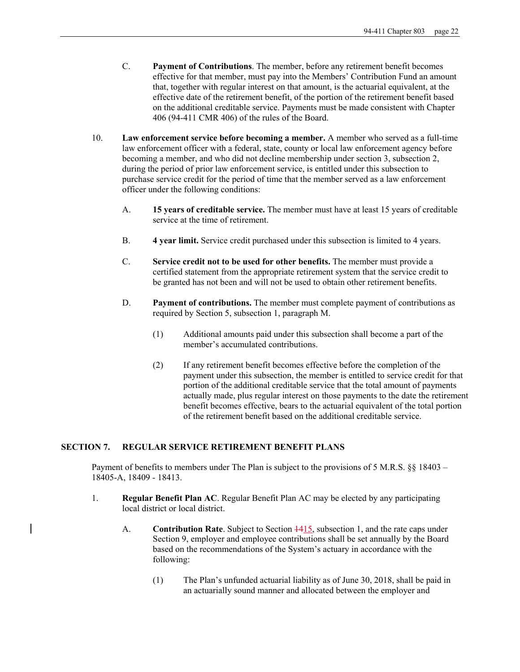- C. **Payment of Contributions**. The member, before any retirement benefit becomes effective for that member, must pay into the Members' Contribution Fund an amount that, together with regular interest on that amount, is the actuarial equivalent, at the effective date of the retirement benefit, of the portion of the retirement benefit based on the additional creditable service. Payments must be made consistent with Chapter 406 (94-411 CMR 406) of the rules of the Board.
- 10. **Law enforcement service before becoming a member.** A member who served as a full-time law enforcement officer with a federal, state, county or local law enforcement agency before becoming a member, and who did not decline membership under section 3, subsection 2, during the period of prior law enforcement service, is entitled under this subsection to purchase service credit for the period of time that the member served as a law enforcement officer under the following conditions:
	- A. **15 years of creditable service.** The member must have at least 15 years of creditable service at the time of retirement.
	- B. **4 year limit.** Service credit purchased under this subsection is limited to 4 years.
	- C. **Service credit not to be used for other benefits.** The member must provide a certified statement from the appropriate retirement system that the service credit to be granted has not been and will not be used to obtain other retirement benefits.
	- D. **Payment of contributions.** The member must complete payment of contributions as required by Section 5, subsection 1, paragraph M.
		- (1) Additional amounts paid under this subsection shall become a part of the member's accumulated contributions.
		- (2) If any retirement benefit becomes effective before the completion of the payment under this subsection, the member is entitled to service credit for that portion of the additional creditable service that the total amount of payments actually made, plus regular interest on those payments to the date the retirement benefit becomes effective, bears to the actuarial equivalent of the total portion of the retirement benefit based on the additional creditable service.

### **SECTION 7. REGULAR SERVICE RETIREMENT BENEFIT PLANS**

Payment of benefits to members under The Plan is subject to the provisions of 5 M.R.S. §§ 18403 – 18405-A, 18409 - 18413.

- 1. **Regular Benefit Plan AC**. Regular Benefit Plan AC may be elected by any participating local district or local district.
	- A. **Contribution Rate**. Subject to Section  $\frac{1415}{12}$ , subsection 1, and the rate caps under Section 9, employer and employee contributions shall be set annually by the Board based on the recommendations of the System's actuary in accordance with the following:
		- (1) The Plan's unfunded actuarial liability as of June 30, 2018, shall be paid in an actuarially sound manner and allocated between the employer and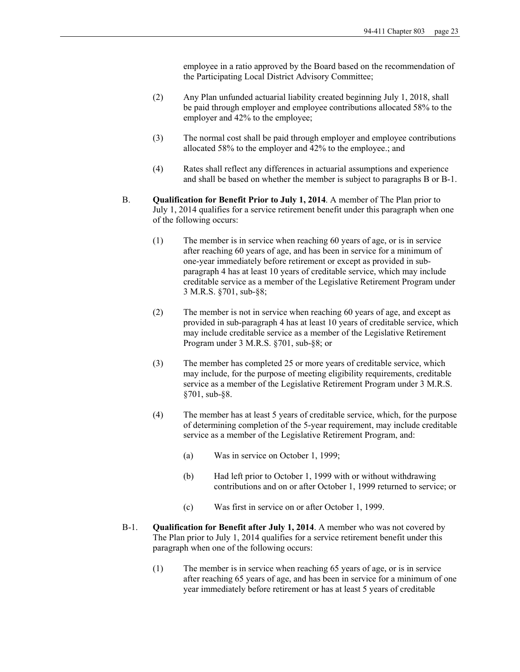employee in a ratio approved by the Board based on the recommendation of the Participating Local District Advisory Committee;

- (2) Any Plan unfunded actuarial liability created beginning July 1, 2018, shall be paid through employer and employee contributions allocated 58% to the employer and 42% to the employee;
- (3) The normal cost shall be paid through employer and employee contributions allocated 58% to the employer and 42% to the employee.; and
- (4) Rates shall reflect any differences in actuarial assumptions and experience and shall be based on whether the member is subject to paragraphs B or B-1.
- B. **Qualification for Benefit Prior to July 1, 2014**. A member of The Plan prior to July 1, 2014 qualifies for a service retirement benefit under this paragraph when one of the following occurs:
	- (1) The member is in service when reaching 60 years of age, or is in service after reaching 60 years of age, and has been in service for a minimum of one-year immediately before retirement or except as provided in subparagraph 4 has at least 10 years of creditable service, which may include creditable service as a member of the Legislative Retirement Program under 3 M.R.S. §701, sub-§8;
	- (2) The member is not in service when reaching 60 years of age, and except as provided in sub-paragraph 4 has at least 10 years of creditable service, which may include creditable service as a member of the Legislative Retirement Program under 3 M.R.S. §701, sub-§8; or
	- (3) The member has completed 25 or more years of creditable service, which may include, for the purpose of meeting eligibility requirements, creditable service as a member of the Legislative Retirement Program under 3 M.R.S. §701, sub-§8.
	- (4) The member has at least 5 years of creditable service, which, for the purpose of determining completion of the 5-year requirement, may include creditable service as a member of the Legislative Retirement Program, and:
		- (a) Was in service on October 1, 1999;
		- (b) Had left prior to October 1, 1999 with or without withdrawing contributions and on or after October 1, 1999 returned to service; or
		- (c) Was first in service on or after October 1, 1999.
- B-1. **Qualification for Benefit after July 1, 2014**. A member who was not covered by The Plan prior to July 1, 2014 qualifies for a service retirement benefit under this paragraph when one of the following occurs:
	- (1) The member is in service when reaching 65 years of age, or is in service after reaching 65 years of age, and has been in service for a minimum of one year immediately before retirement or has at least 5 years of creditable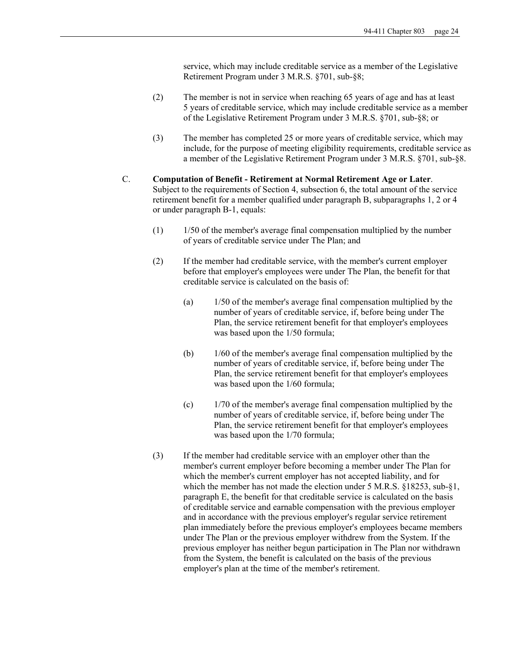service, which may include creditable service as a member of the Legislative Retirement Program under 3 M.R.S. §701, sub-§8;

- (2) The member is not in service when reaching 65 years of age and has at least 5 years of creditable service, which may include creditable service as a member of the Legislative Retirement Program under 3 M.R.S. §701, sub-§8; or
- (3) The member has completed 25 or more years of creditable service, which may include, for the purpose of meeting eligibility requirements, creditable service as a member of the Legislative Retirement Program under 3 M.R.S. §701, sub-§8.
- C. **Computation of Benefit Retirement at Normal Retirement Age or Later**. Subject to the requirements of Section 4, subsection 6, the total amount of the service retirement benefit for a member qualified under paragraph B, subparagraphs 1, 2 or 4 or under paragraph B-1, equals:
	- (1) 1/50 of the member's average final compensation multiplied by the number of years of creditable service under The Plan; and
	- (2) If the member had creditable service, with the member's current employer before that employer's employees were under The Plan, the benefit for that creditable service is calculated on the basis of:
		- (a) 1/50 of the member's average final compensation multiplied by the number of years of creditable service, if, before being under The Plan, the service retirement benefit for that employer's employees was based upon the 1/50 formula;
		- (b) 1/60 of the member's average final compensation multiplied by the number of years of creditable service, if, before being under The Plan, the service retirement benefit for that employer's employees was based upon the 1/60 formula;
		- (c) 1/70 of the member's average final compensation multiplied by the number of years of creditable service, if, before being under The Plan, the service retirement benefit for that employer's employees was based upon the 1/70 formula;
	- (3) If the member had creditable service with an employer other than the member's current employer before becoming a member under The Plan for which the member's current employer has not accepted liability, and for which the member has not made the election under 5 M.R.S. §18253, sub-§1, paragraph E, the benefit for that creditable service is calculated on the basis of creditable service and earnable compensation with the previous employer and in accordance with the previous employer's regular service retirement plan immediately before the previous employer's employees became members under The Plan or the previous employer withdrew from the System. If the previous employer has neither begun participation in The Plan nor withdrawn from the System, the benefit is calculated on the basis of the previous employer's plan at the time of the member's retirement.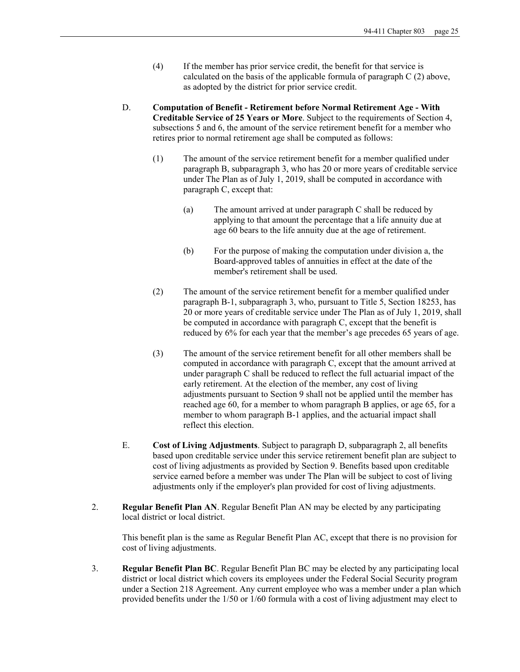- (4) If the member has prior service credit, the benefit for that service is calculated on the basis of the applicable formula of paragraph C (2) above, as adopted by the district for prior service credit.
- D. **Computation of Benefit Retirement before Normal Retirement Age With Creditable Service of 25 Years or More**. Subject to the requirements of Section 4, subsections 5 and 6, the amount of the service retirement benefit for a member who retires prior to normal retirement age shall be computed as follows:
	- (1) The amount of the service retirement benefit for a member qualified under paragraph B, subparagraph 3, who has 20 or more years of creditable service under The Plan as of July 1, 2019, shall be computed in accordance with paragraph C, except that:
		- (a) The amount arrived at under paragraph C shall be reduced by applying to that amount the percentage that a life annuity due at age 60 bears to the life annuity due at the age of retirement.
		- (b) For the purpose of making the computation under division a, the Board-approved tables of annuities in effect at the date of the member's retirement shall be used.
	- (2) The amount of the service retirement benefit for a member qualified under paragraph B-1, subparagraph 3, who, pursuant to Title 5, Section 18253, has 20 or more years of creditable service under The Plan as of July 1, 2019, shall be computed in accordance with paragraph C, except that the benefit is reduced by 6% for each year that the member's age precedes 65 years of age.
	- (3) The amount of the service retirement benefit for all other members shall be computed in accordance with paragraph C, except that the amount arrived at under paragraph C shall be reduced to reflect the full actuarial impact of the early retirement. At the election of the member, any cost of living adjustments pursuant to Section 9 shall not be applied until the member has reached age 60, for a member to whom paragraph B applies, or age 65, for a member to whom paragraph B-1 applies, and the actuarial impact shall reflect this election.
- E. **Cost of Living Adjustments**. Subject to paragraph D, subparagraph 2, all benefits based upon creditable service under this service retirement benefit plan are subject to cost of living adjustments as provided by Section 9. Benefits based upon creditable service earned before a member was under The Plan will be subject to cost of living adjustments only if the employer's plan provided for cost of living adjustments.
- 2. **Regular Benefit Plan AN**. Regular Benefit Plan AN may be elected by any participating local district or local district.

This benefit plan is the same as Regular Benefit Plan AC, except that there is no provision for cost of living adjustments.

3. **Regular Benefit Plan BC**. Regular Benefit Plan BC may be elected by any participating local district or local district which covers its employees under the Federal Social Security program under a Section 218 Agreement. Any current employee who was a member under a plan which provided benefits under the 1/50 or 1/60 formula with a cost of living adjustment may elect to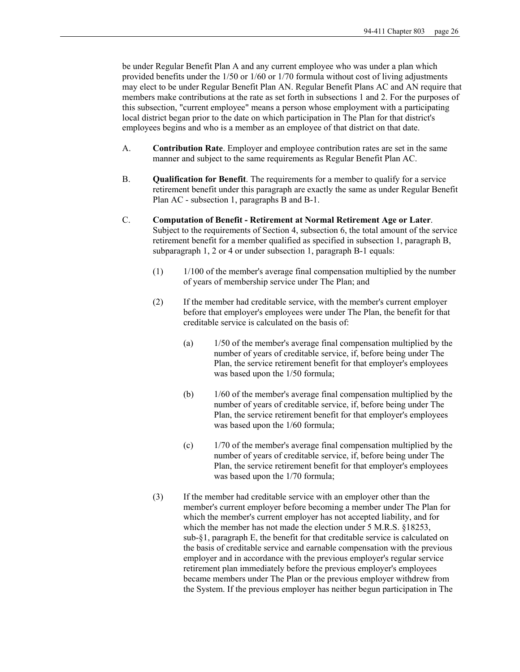be under Regular Benefit Plan A and any current employee who was under a plan which provided benefits under the 1/50 or 1/60 or 1/70 formula without cost of living adjustments may elect to be under Regular Benefit Plan AN. Regular Benefit Plans AC and AN require that members make contributions at the rate as set forth in subsections 1 and 2. For the purposes of this subsection, "current employee" means a person whose employment with a participating local district began prior to the date on which participation in The Plan for that district's employees begins and who is a member as an employee of that district on that date.

- A. **Contribution Rate**. Employer and employee contribution rates are set in the same manner and subject to the same requirements as Regular Benefit Plan AC.
- B. **Qualification for Benefit**. The requirements for a member to qualify for a service retirement benefit under this paragraph are exactly the same as under Regular Benefit Plan AC - subsection 1, paragraphs B and B-1.
- C. **Computation of Benefit Retirement at Normal Retirement Age or Later**. Subject to the requirements of Section 4, subsection 6, the total amount of the service retirement benefit for a member qualified as specified in subsection 1, paragraph B, subparagraph 1, 2 or 4 or under subsection 1, paragraph B-1 equals:
	- $(1)$  1/100 of the member's average final compensation multiplied by the number of years of membership service under The Plan; and
	- (2) If the member had creditable service, with the member's current employer before that employer's employees were under The Plan, the benefit for that creditable service is calculated on the basis of:
		- (a) 1/50 of the member's average final compensation multiplied by the number of years of creditable service, if, before being under The Plan, the service retirement benefit for that employer's employees was based upon the 1/50 formula;
		- (b) 1/60 of the member's average final compensation multiplied by the number of years of creditable service, if, before being under The Plan, the service retirement benefit for that employer's employees was based upon the 1/60 formula;
		- (c) 1/70 of the member's average final compensation multiplied by the number of years of creditable service, if, before being under The Plan, the service retirement benefit for that employer's employees was based upon the 1/70 formula;
	- (3) If the member had creditable service with an employer other than the member's current employer before becoming a member under The Plan for which the member's current employer has not accepted liability, and for which the member has not made the election under 5 M.R.S. §18253, sub-§1, paragraph E, the benefit for that creditable service is calculated on the basis of creditable service and earnable compensation with the previous employer and in accordance with the previous employer's regular service retirement plan immediately before the previous employer's employees became members under The Plan or the previous employer withdrew from the System. If the previous employer has neither begun participation in The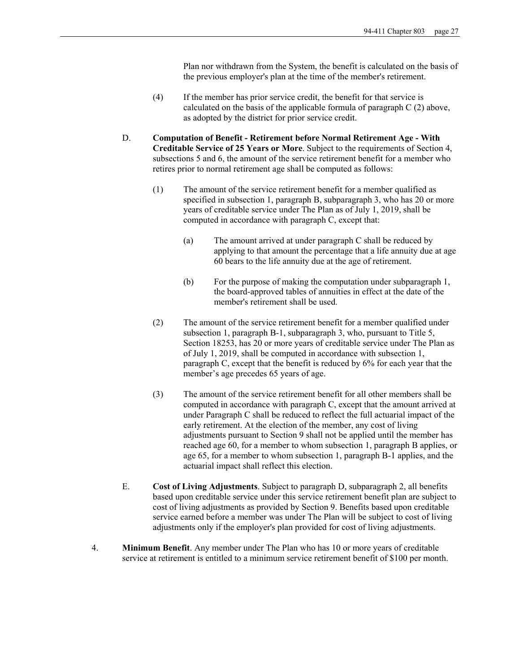Plan nor withdrawn from the System, the benefit is calculated on the basis of the previous employer's plan at the time of the member's retirement.

- (4) If the member has prior service credit, the benefit for that service is calculated on the basis of the applicable formula of paragraph  $C(2)$  above, as adopted by the district for prior service credit.
- D. **Computation of Benefit Retirement before Normal Retirement Age With Creditable Service of 25 Years or More**. Subject to the requirements of Section 4, subsections 5 and 6, the amount of the service retirement benefit for a member who retires prior to normal retirement age shall be computed as follows:
	- (1) The amount of the service retirement benefit for a member qualified as specified in subsection 1, paragraph B, subparagraph 3, who has 20 or more years of creditable service under The Plan as of July 1, 2019, shall be computed in accordance with paragraph C, except that:
		- (a) The amount arrived at under paragraph C shall be reduced by applying to that amount the percentage that a life annuity due at age 60 bears to the life annuity due at the age of retirement.
		- (b) For the purpose of making the computation under subparagraph 1, the board-approved tables of annuities in effect at the date of the member's retirement shall be used.
	- (2) The amount of the service retirement benefit for a member qualified under subsection 1, paragraph B-1, subparagraph 3, who, pursuant to Title 5, Section 18253, has 20 or more years of creditable service under The Plan as of July 1, 2019, shall be computed in accordance with subsection 1, paragraph C, except that the benefit is reduced by 6% for each year that the member's age precedes 65 years of age.
	- (3) The amount of the service retirement benefit for all other members shall be computed in accordance with paragraph C, except that the amount arrived at under Paragraph C shall be reduced to reflect the full actuarial impact of the early retirement. At the election of the member, any cost of living adjustments pursuant to Section 9 shall not be applied until the member has reached age 60, for a member to whom subsection 1, paragraph B applies, or age 65, for a member to whom subsection 1, paragraph B-1 applies, and the actuarial impact shall reflect this election.
- E. **Cost of Living Adjustments**. Subject to paragraph D, subparagraph 2, all benefits based upon creditable service under this service retirement benefit plan are subject to cost of living adjustments as provided by Section 9. Benefits based upon creditable service earned before a member was under The Plan will be subject to cost of living adjustments only if the employer's plan provided for cost of living adjustments.
- 4. **Minimum Benefit**. Any member under The Plan who has 10 or more years of creditable service at retirement is entitled to a minimum service retirement benefit of \$100 per month.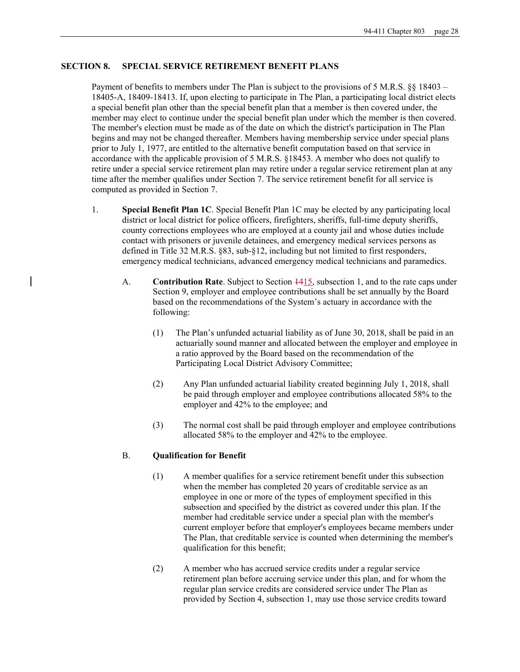## **SECTION 8. SPECIAL SERVICE RETIREMENT BENEFIT PLANS**

Payment of benefits to members under The Plan is subject to the provisions of 5 M.R.S. §§ 18403 – 18405-A, 18409-18413. If, upon electing to participate in The Plan, a participating local district elects a special benefit plan other than the special benefit plan that a member is then covered under, the member may elect to continue under the special benefit plan under which the member is then covered. The member's election must be made as of the date on which the district's participation in The Plan begins and may not be changed thereafter. Members having membership service under special plans prior to July 1, 1977, are entitled to the alternative benefit computation based on that service in accordance with the applicable provision of 5 M.R.S. §18453. A member who does not qualify to retire under a special service retirement plan may retire under a regular service retirement plan at any time after the member qualifies under Section 7. The service retirement benefit for all service is computed as provided in Section 7.

- 1. **Special Benefit Plan 1C**. Special Benefit Plan 1C may be elected by any participating local district or local district for police officers, firefighters, sheriffs, full-time deputy sheriffs, county corrections employees who are employed at a county jail and whose duties include contact with prisoners or juvenile detainees, and emergency medical services persons as defined in Title 32 M.R.S. §83, sub-§12, including but not limited to first responders, emergency medical technicians, advanced emergency medical technicians and paramedics.
	- A. **Contribution Rate**. Subject to Section 1415, subsection 1, and to the rate caps under Section 9, employer and employee contributions shall be set annually by the Board based on the recommendations of the System's actuary in accordance with the following:
		- (1) The Plan's unfunded actuarial liability as of June 30, 2018, shall be paid in an actuarially sound manner and allocated between the employer and employee in a ratio approved by the Board based on the recommendation of the Participating Local District Advisory Committee;
		- (2) Any Plan unfunded actuarial liability created beginning July 1, 2018, shall be paid through employer and employee contributions allocated 58% to the employer and 42% to the employee; and
		- (3) The normal cost shall be paid through employer and employee contributions allocated 58% to the employer and 42% to the employee.

#### B. **Qualification for Benefit**

- (1) A member qualifies for a service retirement benefit under this subsection when the member has completed 20 years of creditable service as an employee in one or more of the types of employment specified in this subsection and specified by the district as covered under this plan. If the member had creditable service under a special plan with the member's current employer before that employer's employees became members under The Plan, that creditable service is counted when determining the member's qualification for this benefit;
- (2) A member who has accrued service credits under a regular service retirement plan before accruing service under this plan, and for whom the regular plan service credits are considered service under The Plan as provided by Section 4, subsection 1, may use those service credits toward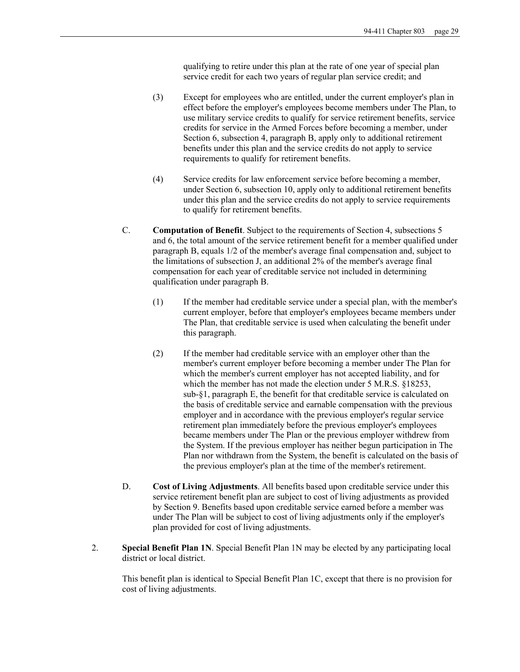qualifying to retire under this plan at the rate of one year of special plan service credit for each two years of regular plan service credit; and

- (3) Except for employees who are entitled, under the current employer's plan in effect before the employer's employees become members under The Plan, to use military service credits to qualify for service retirement benefits, service credits for service in the Armed Forces before becoming a member, under Section 6, subsection 4, paragraph B, apply only to additional retirement benefits under this plan and the service credits do not apply to service requirements to qualify for retirement benefits.
- (4) Service credits for law enforcement service before becoming a member, under Section 6, subsection 10, apply only to additional retirement benefits under this plan and the service credits do not apply to service requirements to qualify for retirement benefits.
- C. **Computation of Benefit**. Subject to the requirements of Section 4, subsections 5 and 6, the total amount of the service retirement benefit for a member qualified under paragraph B, equals 1/2 of the member's average final compensation and, subject to the limitations of subsection J, an additional 2% of the member's average final compensation for each year of creditable service not included in determining qualification under paragraph B.
	- (1) If the member had creditable service under a special plan, with the member's current employer, before that employer's employees became members under The Plan, that creditable service is used when calculating the benefit under this paragraph.
	- (2) If the member had creditable service with an employer other than the member's current employer before becoming a member under The Plan for which the member's current employer has not accepted liability, and for which the member has not made the election under 5 M.R.S. §18253, sub-§1, paragraph E, the benefit for that creditable service is calculated on the basis of creditable service and earnable compensation with the previous employer and in accordance with the previous employer's regular service retirement plan immediately before the previous employer's employees became members under The Plan or the previous employer withdrew from the System. If the previous employer has neither begun participation in The Plan nor withdrawn from the System, the benefit is calculated on the basis of the previous employer's plan at the time of the member's retirement.
- D. **Cost of Living Adjustments**. All benefits based upon creditable service under this service retirement benefit plan are subject to cost of living adjustments as provided by Section 9. Benefits based upon creditable service earned before a member was under The Plan will be subject to cost of living adjustments only if the employer's plan provided for cost of living adjustments.
- 2. **Special Benefit Plan 1N**. Special Benefit Plan 1N may be elected by any participating local district or local district.

This benefit plan is identical to Special Benefit Plan 1C, except that there is no provision for cost of living adjustments.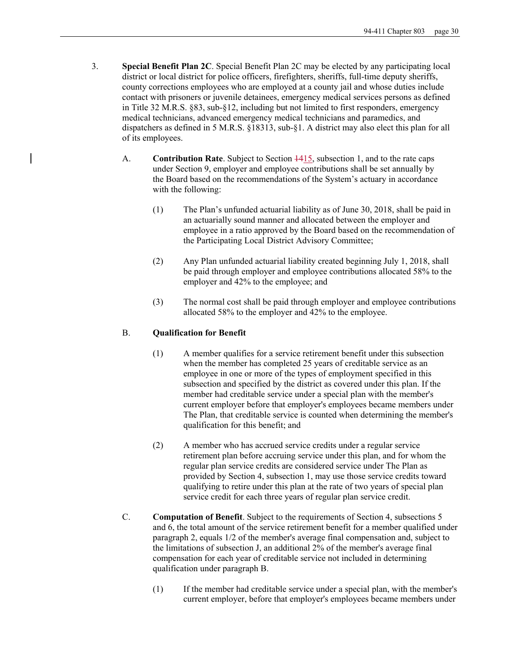- 3. **Special Benefit Plan 2C**. Special Benefit Plan 2C may be elected by any participating local district or local district for police officers, firefighters, sheriffs, full-time deputy sheriffs, county corrections employees who are employed at a county jail and whose duties include contact with prisoners or juvenile detainees, emergency medical services persons as defined in Title 32 M.R.S. §83, sub-§12, including but not limited to first responders, emergency medical technicians, advanced emergency medical technicians and paramedics, and dispatchers as defined in 5 M.R.S. §18313, sub-§1. A district may also elect this plan for all of its employees.
	- A. **Contribution Rate**. Subject to Section  $\frac{1415}{12}$ , subsection 1, and to the rate caps under Section 9, employer and employee contributions shall be set annually by the Board based on the recommendations of the System's actuary in accordance with the following:
		- (1) The Plan's unfunded actuarial liability as of June 30, 2018, shall be paid in an actuarially sound manner and allocated between the employer and employee in a ratio approved by the Board based on the recommendation of the Participating Local District Advisory Committee;
		- (2) Any Plan unfunded actuarial liability created beginning July 1, 2018, shall be paid through employer and employee contributions allocated 58% to the employer and 42% to the employee; and
		- (3) The normal cost shall be paid through employer and employee contributions allocated 58% to the employer and 42% to the employee.

## B. **Qualification for Benefit**

- (1) A member qualifies for a service retirement benefit under this subsection when the member has completed 25 years of creditable service as an employee in one or more of the types of employment specified in this subsection and specified by the district as covered under this plan. If the member had creditable service under a special plan with the member's current employer before that employer's employees became members under The Plan, that creditable service is counted when determining the member's qualification for this benefit; and
- (2) A member who has accrued service credits under a regular service retirement plan before accruing service under this plan, and for whom the regular plan service credits are considered service under The Plan as provided by Section 4, subsection 1, may use those service credits toward qualifying to retire under this plan at the rate of two years of special plan service credit for each three years of regular plan service credit.
- C. **Computation of Benefit**. Subject to the requirements of Section 4, subsections 5 and 6, the total amount of the service retirement benefit for a member qualified under paragraph 2, equals 1/2 of the member's average final compensation and, subject to the limitations of subsection J, an additional 2% of the member's average final compensation for each year of creditable service not included in determining qualification under paragraph B.
	- (1) If the member had creditable service under a special plan, with the member's current employer, before that employer's employees became members under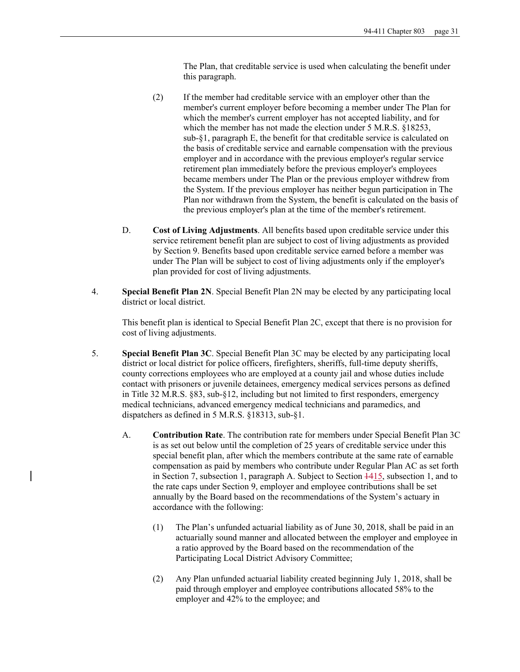The Plan, that creditable service is used when calculating the benefit under this paragraph.

- (2) If the member had creditable service with an employer other than the member's current employer before becoming a member under The Plan for which the member's current employer has not accepted liability, and for which the member has not made the election under 5 M.R.S. §18253, sub-§1, paragraph E, the benefit for that creditable service is calculated on the basis of creditable service and earnable compensation with the previous employer and in accordance with the previous employer's regular service retirement plan immediately before the previous employer's employees became members under The Plan or the previous employer withdrew from the System. If the previous employer has neither begun participation in The Plan nor withdrawn from the System, the benefit is calculated on the basis of the previous employer's plan at the time of the member's retirement.
- D. **Cost of Living Adjustments**. All benefits based upon creditable service under this service retirement benefit plan are subject to cost of living adjustments as provided by Section 9. Benefits based upon creditable service earned before a member was under The Plan will be subject to cost of living adjustments only if the employer's plan provided for cost of living adjustments.
- 4. **Special Benefit Plan 2N**. Special Benefit Plan 2N may be elected by any participating local district or local district.

This benefit plan is identical to Special Benefit Plan 2C, except that there is no provision for cost of living adjustments.

- 5. **Special Benefit Plan 3C**. Special Benefit Plan 3C may be elected by any participating local district or local district for police officers, firefighters, sheriffs, full-time deputy sheriffs, county corrections employees who are employed at a county jail and whose duties include contact with prisoners or juvenile detainees, emergency medical services persons as defined in Title 32 M.R.S. §83, sub-§12, including but not limited to first responders, emergency medical technicians, advanced emergency medical technicians and paramedics, and dispatchers as defined in 5 M.R.S. §18313, sub-§1.
	- A. **Contribution Rate**. The contribution rate for members under Special Benefit Plan 3C is as set out below until the completion of 25 years of creditable service under this special benefit plan, after which the members contribute at the same rate of earnable compensation as paid by members who contribute under Regular Plan AC as set forth in Section 7, subsection 1, paragraph A. Subject to Section 1415, subsection 1, and to the rate caps under Section 9, employer and employee contributions shall be set annually by the Board based on the recommendations of the System's actuary in accordance with the following:
		- (1) The Plan's unfunded actuarial liability as of June 30, 2018, shall be paid in an actuarially sound manner and allocated between the employer and employee in a ratio approved by the Board based on the recommendation of the Participating Local District Advisory Committee;
		- (2) Any Plan unfunded actuarial liability created beginning July 1, 2018, shall be paid through employer and employee contributions allocated 58% to the employer and 42% to the employee; and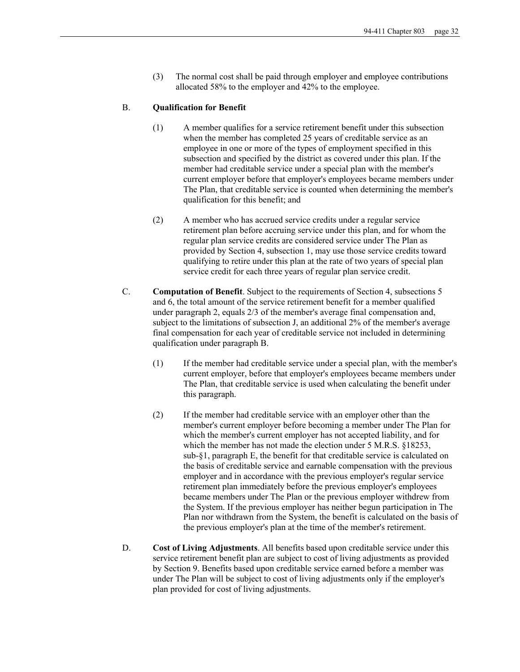(3) The normal cost shall be paid through employer and employee contributions allocated 58% to the employer and 42% to the employee.

#### B. **Qualification for Benefit**

- (1) A member qualifies for a service retirement benefit under this subsection when the member has completed 25 years of creditable service as an employee in one or more of the types of employment specified in this subsection and specified by the district as covered under this plan. If the member had creditable service under a special plan with the member's current employer before that employer's employees became members under The Plan, that creditable service is counted when determining the member's qualification for this benefit; and
- (2) A member who has accrued service credits under a regular service retirement plan before accruing service under this plan, and for whom the regular plan service credits are considered service under The Plan as provided by Section 4, subsection 1, may use those service credits toward qualifying to retire under this plan at the rate of two years of special plan service credit for each three years of regular plan service credit.
- C. **Computation of Benefit**. Subject to the requirements of Section 4, subsections 5 and 6, the total amount of the service retirement benefit for a member qualified under paragraph 2, equals 2/3 of the member's average final compensation and, subject to the limitations of subsection J, an additional 2% of the member's average final compensation for each year of creditable service not included in determining qualification under paragraph B.
	- (1) If the member had creditable service under a special plan, with the member's current employer, before that employer's employees became members under The Plan, that creditable service is used when calculating the benefit under this paragraph.
	- (2) If the member had creditable service with an employer other than the member's current employer before becoming a member under The Plan for which the member's current employer has not accepted liability, and for which the member has not made the election under 5 M.R.S. §18253, sub-§1, paragraph E, the benefit for that creditable service is calculated on the basis of creditable service and earnable compensation with the previous employer and in accordance with the previous employer's regular service retirement plan immediately before the previous employer's employees became members under The Plan or the previous employer withdrew from the System. If the previous employer has neither begun participation in The Plan nor withdrawn from the System, the benefit is calculated on the basis of the previous employer's plan at the time of the member's retirement.
- D. **Cost of Living Adjustments**. All benefits based upon creditable service under this service retirement benefit plan are subject to cost of living adjustments as provided by Section 9. Benefits based upon creditable service earned before a member was under The Plan will be subject to cost of living adjustments only if the employer's plan provided for cost of living adjustments.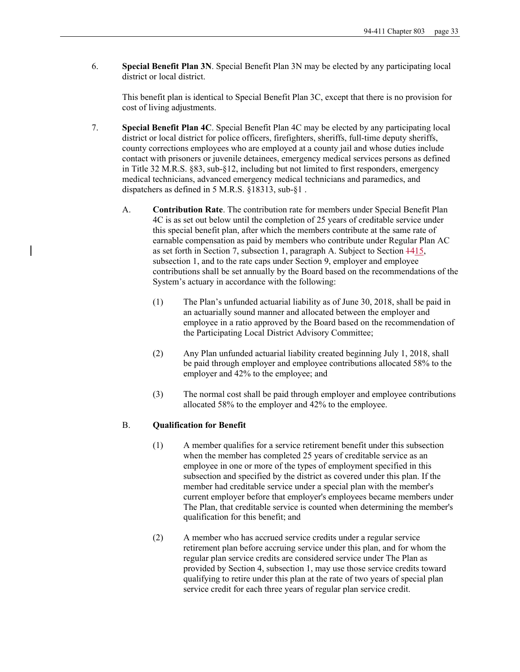6. **Special Benefit Plan 3N**. Special Benefit Plan 3N may be elected by any participating local district or local district.

This benefit plan is identical to Special Benefit Plan 3C, except that there is no provision for cost of living adjustments.

- 7. **Special Benefit Plan 4C**. Special Benefit Plan 4C may be elected by any participating local district or local district for police officers, firefighters, sheriffs, full-time deputy sheriffs, county corrections employees who are employed at a county jail and whose duties include contact with prisoners or juvenile detainees, emergency medical services persons as defined in Title 32 M.R.S. §83, sub-§12, including but not limited to first responders, emergency medical technicians, advanced emergency medical technicians and paramedics, and dispatchers as defined in 5 M.R.S. §18313, sub-§1 .
	- A. **Contribution Rate**. The contribution rate for members under Special Benefit Plan 4C is as set out below until the completion of 25 years of creditable service under this special benefit plan, after which the members contribute at the same rate of earnable compensation as paid by members who contribute under Regular Plan AC as set forth in Section 7, subsection 1, paragraph A. Subject to Section 1415, subsection 1, and to the rate caps under Section 9, employer and employee contributions shall be set annually by the Board based on the recommendations of the System's actuary in accordance with the following:
		- (1) The Plan's unfunded actuarial liability as of June 30, 2018, shall be paid in an actuarially sound manner and allocated between the employer and employee in a ratio approved by the Board based on the recommendation of the Participating Local District Advisory Committee;
		- (2) Any Plan unfunded actuarial liability created beginning July 1, 2018, shall be paid through employer and employee contributions allocated 58% to the employer and 42% to the employee; and
		- (3) The normal cost shall be paid through employer and employee contributions allocated 58% to the employer and 42% to the employee.

## B. **Qualification for Benefit**

- (1) A member qualifies for a service retirement benefit under this subsection when the member has completed 25 years of creditable service as an employee in one or more of the types of employment specified in this subsection and specified by the district as covered under this plan. If the member had creditable service under a special plan with the member's current employer before that employer's employees became members under The Plan, that creditable service is counted when determining the member's qualification for this benefit; and
- (2) A member who has accrued service credits under a regular service retirement plan before accruing service under this plan, and for whom the regular plan service credits are considered service under The Plan as provided by Section 4, subsection 1, may use those service credits toward qualifying to retire under this plan at the rate of two years of special plan service credit for each three years of regular plan service credit.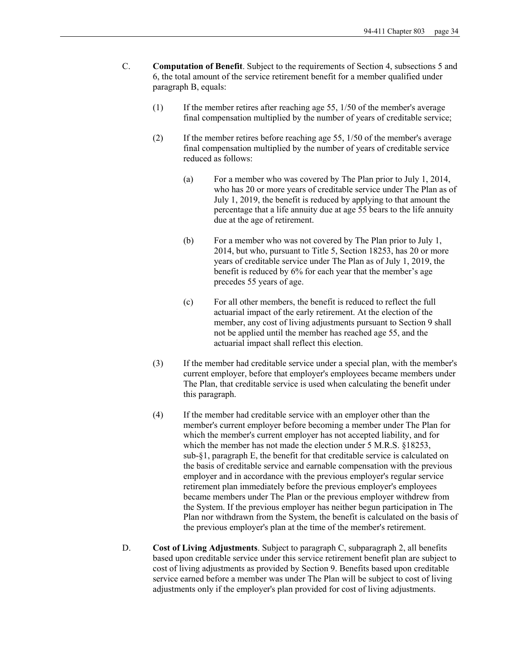- C. **Computation of Benefit**. Subject to the requirements of Section 4, subsections 5 and 6, the total amount of the service retirement benefit for a member qualified under paragraph B, equals:
	- $(1)$  If the member retires after reaching age 55,  $1/50$  of the member's average final compensation multiplied by the number of years of creditable service;
	- (2) If the member retires before reaching age 55, 1/50 of the member's average final compensation multiplied by the number of years of creditable service reduced as follows:
		- (a) For a member who was covered by The Plan prior to July 1, 2014, who has 20 or more years of creditable service under The Plan as of July 1, 2019, the benefit is reduced by applying to that amount the percentage that a life annuity due at age 55 bears to the life annuity due at the age of retirement.
		- (b) For a member who was not covered by The Plan prior to July 1, 2014, but who, pursuant to Title 5, Section 18253, has 20 or more years of creditable service under The Plan as of July 1, 2019, the benefit is reduced by 6% for each year that the member's age precedes 55 years of age.
		- (c) For all other members, the benefit is reduced to reflect the full actuarial impact of the early retirement. At the election of the member, any cost of living adjustments pursuant to Section 9 shall not be applied until the member has reached age 55, and the actuarial impact shall reflect this election.
	- (3) If the member had creditable service under a special plan, with the member's current employer, before that employer's employees became members under The Plan, that creditable service is used when calculating the benefit under this paragraph.
	- (4) If the member had creditable service with an employer other than the member's current employer before becoming a member under The Plan for which the member's current employer has not accepted liability, and for which the member has not made the election under 5 M.R.S. §18253, sub-§1, paragraph E, the benefit for that creditable service is calculated on the basis of creditable service and earnable compensation with the previous employer and in accordance with the previous employer's regular service retirement plan immediately before the previous employer's employees became members under The Plan or the previous employer withdrew from the System. If the previous employer has neither begun participation in The Plan nor withdrawn from the System, the benefit is calculated on the basis of the previous employer's plan at the time of the member's retirement.
- D. **Cost of Living Adjustments**. Subject to paragraph C, subparagraph 2, all benefits based upon creditable service under this service retirement benefit plan are subject to cost of living adjustments as provided by Section 9. Benefits based upon creditable service earned before a member was under The Plan will be subject to cost of living adjustments only if the employer's plan provided for cost of living adjustments.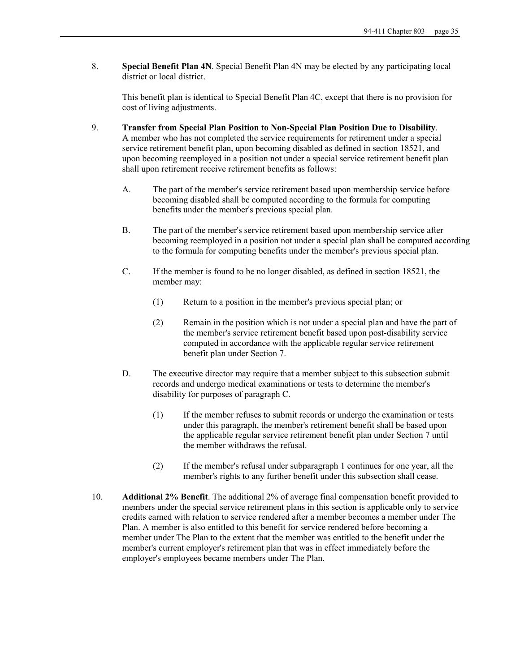8. **Special Benefit Plan 4N**. Special Benefit Plan 4N may be elected by any participating local district or local district.

This benefit plan is identical to Special Benefit Plan 4C, except that there is no provision for cost of living adjustments.

- 9. **Transfer from Special Plan Position to Non-Special Plan Position Due to Disability**. A member who has not completed the service requirements for retirement under a special service retirement benefit plan, upon becoming disabled as defined in section 18521, and upon becoming reemployed in a position not under a special service retirement benefit plan shall upon retirement receive retirement benefits as follows:
	- A. The part of the member's service retirement based upon membership service before becoming disabled shall be computed according to the formula for computing benefits under the member's previous special plan.
	- B. The part of the member's service retirement based upon membership service after becoming reemployed in a position not under a special plan shall be computed according to the formula for computing benefits under the member's previous special plan.
	- C. If the member is found to be no longer disabled, as defined in section 18521, the member may:
		- (1) Return to a position in the member's previous special plan; or
		- (2) Remain in the position which is not under a special plan and have the part of the member's service retirement benefit based upon post-disability service computed in accordance with the applicable regular service retirement benefit plan under Section 7.
	- D. The executive director may require that a member subject to this subsection submit records and undergo medical examinations or tests to determine the member's disability for purposes of paragraph C.
		- (1) If the member refuses to submit records or undergo the examination or tests under this paragraph, the member's retirement benefit shall be based upon the applicable regular service retirement benefit plan under Section 7 until the member withdraws the refusal.
		- (2) If the member's refusal under subparagraph 1 continues for one year, all the member's rights to any further benefit under this subsection shall cease.
- 10. **Additional 2% Benefit**. The additional 2% of average final compensation benefit provided to members under the special service retirement plans in this section is applicable only to service credits earned with relation to service rendered after a member becomes a member under The Plan. A member is also entitled to this benefit for service rendered before becoming a member under The Plan to the extent that the member was entitled to the benefit under the member's current employer's retirement plan that was in effect immediately before the employer's employees became members under The Plan.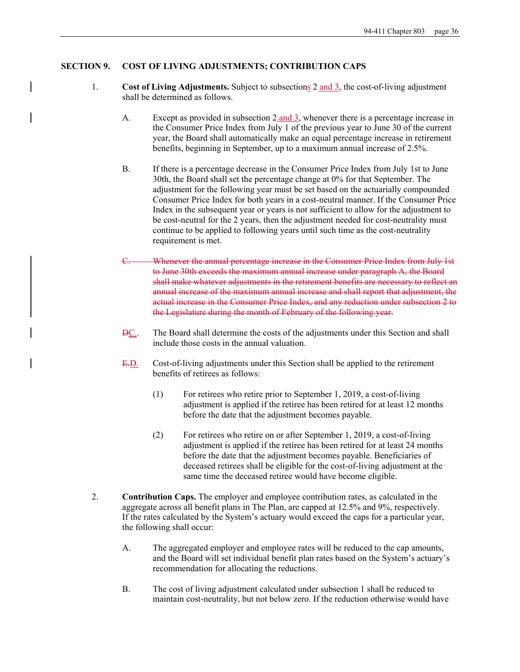## **SECTION 9. COST OF LIVING ADJUSTMENTS; CONTRIBUTION CAPS**

- 1. **Cost of Living Adjustments.** Subject to subsections 2 and 3, the cost-of-living adjustment shall be determined as follows.
	- A. Except as provided in subsection 2 and 3, whenever there is a percentage increase in the Consumer Price Index from July 1 of the previous year to June 30 of the current year, the Board shall automatically make an equal percentage increase in retirement benefits, beginning in September, up to a maximum annual increase of 2.5%.
	- B. If there is a percentage decrease in the Consumer Price Index from July 1st to June 30th, the Board shall set the percentage change at 0% for that September. The adjustment for the following year must be set based on the actuarially compounded Consumer Price Index for both years in a cost-neutral manner. If the Consumer Price Index in the subsequent year or years is not sufficient to allow for the adjustment to be cost-neutral for the 2 years, then the adjustment needed for cost-neutrality must continue to be applied to following years until such time as the cost-neutrality requirement is met.
	- Whenever the annual percentage increase in the Consumer Price Index from July 1st to June 30th exceeds the maximum annual increase under paragraph A, the Board shall make whatever adjustments in the retirement benefits are necessary to reflect an annual increase of the maximum annual increase and shall report that adjustment, the actual increase in the Consumer Price Index, and any reduction under subsection 2 to the Legislature during the month of February of the following year.
	- DC.. The Board shall determine the costs of the adjustments under this Section and shall include those costs in the annual valuation.
	- E.D. Cost-of-living adjustments under this Section shall be applied to the retirement benefits of retirees as follows:
		- (1) For retirees who retire prior to September 1, 2019, a cost-of-living adjustment is applied if the retiree has been retired for at least 12 months before the date that the adjustment becomes payable.
		- (2) For retirees who retire on or after September 1, 2019, a cost-of-living adjustment is applied if the retiree has been retired for at least 24 months before the date that the adjustment becomes payable. Beneficiaries of deceased retirees shall be eligible for the cost-of-living adjustment at the same time the deceased retiree would have become eligible.
- 2. **Contribution Caps.** The employer and employee contribution rates, as calculated in the aggregate across all benefit plans in The Plan, are capped at 12.5% and 9%, respectively. If the rates calculated by the System's actuary would exceed the caps for a particular year, the following shall occur:
	- A. The aggregated employer and employee rates will be reduced to the cap amounts, and the Board will set individual benefit plan rates based on the System's actuary's recommendation for allocating the reductions.
	- B. The cost of living adjustment calculated under subsection 1 shall be reduced to maintain cost-neutrality, but not below zero. If the reduction otherwise would have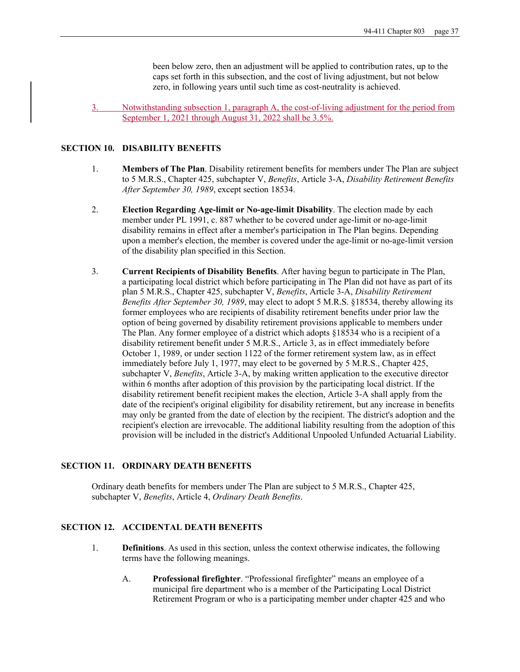been below zero, then an adjustment will be applied to contribution rates, up to the caps set forth in this subsection, and the cost of living adjustment, but not below zero, in following years until such time as cost-neutrality is achieved.

3. Notwithstanding subsection 1, paragraph A, the cost-of-living adjustment for the period from September 1, 2021 through August 31, 2022 shall be 3.5%.

#### **SECTION 10. DISABILITY BENEFITS**

- 1. **Members of The Plan**. Disability retirement benefits for members under The Plan are subject to 5 M.R.S., Chapter 425, subchapter V, *Benefits*, Article 3-A, *Disability Retirement Benefits After September 30, 1989*, except section 18534.
- 2. **Election Regarding Age-limit or No-age-limit Disability**. The election made by each member under PL 1991, c. 887 whether to be covered under age-limit or no-age-limit disability remains in effect after a member's participation in The Plan begins. Depending upon a member's election, the member is covered under the age-limit or no-age-limit version of the disability plan specified in this Section.
- 3. **Current Recipients of Disability Benefits**. After having begun to participate in The Plan, a participating local district which before participating in The Plan did not have as part of its plan 5 M.R.S., Chapter 425, subchapter V, *Benefits*, Article 3-A, *Disability Retirement Benefits After September 30, 1989*, may elect to adopt 5 M.R.S. §18534, thereby allowing its former employees who are recipients of disability retirement benefits under prior law the option of being governed by disability retirement provisions applicable to members under The Plan. Any former employee of a district which adopts §18534 who is a recipient of a disability retirement benefit under 5 M.R.S., Article 3, as in effect immediately before October 1, 1989, or under section 1122 of the former retirement system law, as in effect immediately before July 1, 1977, may elect to be governed by 5 M.R.S., Chapter 425, subchapter V, *Benefits*, Article 3-A, by making written application to the executive director within 6 months after adoption of this provision by the participating local district. If the disability retirement benefit recipient makes the election, Article 3-A shall apply from the date of the recipient's original eligibility for disability retirement, but any increase in benefits may only be granted from the date of election by the recipient. The district's adoption and the recipient's election are irrevocable. The additional liability resulting from the adoption of this provision will be included in the district's Additional Unpooled Unfunded Actuarial Liability.

## **SECTION 11. ORDINARY DEATH BENEFITS**

Ordinary death benefits for members under The Plan are subject to 5 M.R.S., Chapter 425, subchapter V, *Benefits*, Article 4, *Ordinary Death Benefits*.

## **SECTION 12. ACCIDENTAL DEATH BENEFITS**

- 1. **Definitions**. As used in this section, unless the context otherwise indicates, the following terms have the following meanings.
	- A. **Professional firefighter**. "Professional firefighter" means an employee of a municipal fire department who is a member of the Participating Local District Retirement Program or who is a participating member under chapter 425 and who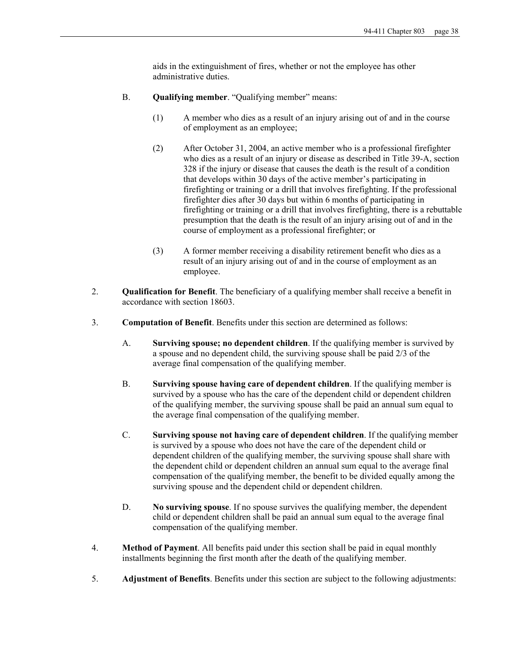aids in the extinguishment of fires, whether or not the employee has other administrative duties.

- B. **Qualifying member**. "Qualifying member" means:
	- (1) A member who dies as a result of an injury arising out of and in the course of employment as an employee;
	- (2) After October 31, 2004, an active member who is a professional firefighter who dies as a result of an injury or disease as described in Title 39-A, section 328 if the injury or disease that causes the death is the result of a condition that develops within 30 days of the active member's participating in firefighting or training or a drill that involves firefighting. If the professional firefighter dies after 30 days but within 6 months of participating in firefighting or training or a drill that involves firefighting, there is a rebuttable presumption that the death is the result of an injury arising out of and in the course of employment as a professional firefighter; or
	- (3) A former member receiving a disability retirement benefit who dies as a result of an injury arising out of and in the course of employment as an employee.
- 2. **Qualification for Benefit**. The beneficiary of a qualifying member shall receive a benefit in accordance with section 18603.
- 3. **Computation of Benefit**. Benefits under this section are determined as follows:
	- A. **Surviving spouse; no dependent children**. If the qualifying member is survived by a spouse and no dependent child, the surviving spouse shall be paid 2/3 of the average final compensation of the qualifying member.
	- B. **Surviving spouse having care of dependent children**. If the qualifying member is survived by a spouse who has the care of the dependent child or dependent children of the qualifying member, the surviving spouse shall be paid an annual sum equal to the average final compensation of the qualifying member.
	- C. **Surviving spouse not having care of dependent children**. If the qualifying member is survived by a spouse who does not have the care of the dependent child or dependent children of the qualifying member, the surviving spouse shall share with the dependent child or dependent children an annual sum equal to the average final compensation of the qualifying member, the benefit to be divided equally among the surviving spouse and the dependent child or dependent children.
	- D. **No surviving spouse**. If no spouse survives the qualifying member, the dependent child or dependent children shall be paid an annual sum equal to the average final compensation of the qualifying member.
- 4. **Method of Payment**. All benefits paid under this section shall be paid in equal monthly installments beginning the first month after the death of the qualifying member.
- 5. **Adjustment of Benefits**. Benefits under this section are subject to the following adjustments: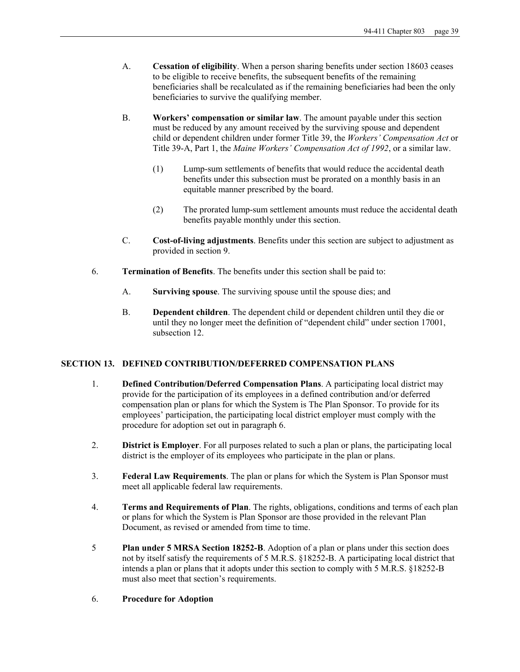- A. **Cessation of eligibility**. When a person sharing benefits under section 18603 ceases to be eligible to receive benefits, the subsequent benefits of the remaining beneficiaries shall be recalculated as if the remaining beneficiaries had been the only beneficiaries to survive the qualifying member.
- B. **Workers' compensation or similar law**. The amount payable under this section must be reduced by any amount received by the surviving spouse and dependent child or dependent children under former Title 39, the *Workers' Compensation Act* or Title 39-A, Part 1, the *Maine Workers' Compensation Act of 1992*, or a similar law.
	- (1) Lump-sum settlements of benefits that would reduce the accidental death benefits under this subsection must be prorated on a monthly basis in an equitable manner prescribed by the board.
	- (2) The prorated lump-sum settlement amounts must reduce the accidental death benefits payable monthly under this section.
- C. **Cost-of-living adjustments**. Benefits under this section are subject to adjustment as provided in section 9.
- 6. **Termination of Benefits**. The benefits under this section shall be paid to:
	- A. **Surviving spouse**. The surviving spouse until the spouse dies; and
	- B. **Dependent children**. The dependent child or dependent children until they die or until they no longer meet the definition of "dependent child" under section 17001, subsection 12.

## **SECTION 13. DEFINED CONTRIBUTION/DEFERRED COMPENSATION PLANS**

- 1. **Defined Contribution/Deferred Compensation Plans**. A participating local district may provide for the participation of its employees in a defined contribution and/or deferred compensation plan or plans for which the System is The Plan Sponsor. To provide for its employees' participation, the participating local district employer must comply with the procedure for adoption set out in paragraph 6.
- 2. **District is Employer**. For all purposes related to such a plan or plans, the participating local district is the employer of its employees who participate in the plan or plans.
- 3. **Federal Law Requirements**. The plan or plans for which the System is Plan Sponsor must meet all applicable federal law requirements.
- 4. **Terms and Requirements of Plan**. The rights, obligations, conditions and terms of each plan or plans for which the System is Plan Sponsor are those provided in the relevant Plan Document, as revised or amended from time to time.
- 5 **Plan under 5 MRSA Section 18252-B**. Adoption of a plan or plans under this section does not by itself satisfy the requirements of 5 M.R.S. §18252-B. A participating local district that intends a plan or plans that it adopts under this section to comply with 5 M.R.S. §18252-B must also meet that section's requirements.
- 6. **Procedure for Adoption**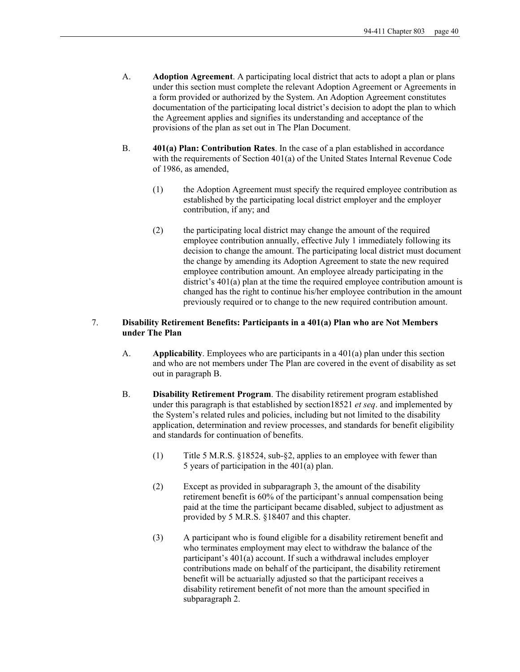- A. **Adoption Agreement**. A participating local district that acts to adopt a plan or plans under this section must complete the relevant Adoption Agreement or Agreements in a form provided or authorized by the System. An Adoption Agreement constitutes documentation of the participating local district's decision to adopt the plan to which the Agreement applies and signifies its understanding and acceptance of the provisions of the plan as set out in The Plan Document.
- B. **401(a) Plan: Contribution Rates**. In the case of a plan established in accordance with the requirements of Section 401(a) of the United States Internal Revenue Code of 1986, as amended,
	- (1) the Adoption Agreement must specify the required employee contribution as established by the participating local district employer and the employer contribution, if any; and
	- (2) the participating local district may change the amount of the required employee contribution annually, effective July 1 immediately following its decision to change the amount. The participating local district must document the change by amending its Adoption Agreement to state the new required employee contribution amount. An employee already participating in the district's 401(a) plan at the time the required employee contribution amount is changed has the right to continue his/her employee contribution in the amount previously required or to change to the new required contribution amount.

## 7. **Disability Retirement Benefits: Participants in a 401(a) Plan who are Not Members under The Plan**

- A. **Applicability**. Employees who are participants in a 401(a) plan under this section and who are not members under The Plan are covered in the event of disability as set out in paragraph B.
- B. **Disability Retirement Program**. The disability retirement program established under this paragraph is that established by section18521 *et seq*. and implemented by the System's related rules and policies, including but not limited to the disability application, determination and review processes, and standards for benefit eligibility and standards for continuation of benefits.
	- (1) Title 5 M.R.S. §18524, sub-§2, applies to an employee with fewer than 5 years of participation in the 401(a) plan.
	- (2) Except as provided in subparagraph 3, the amount of the disability retirement benefit is 60% of the participant's annual compensation being paid at the time the participant became disabled, subject to adjustment as provided by 5 M.R.S. §18407 and this chapter.
	- (3) A participant who is found eligible for a disability retirement benefit and who terminates employment may elect to withdraw the balance of the participant's 401(a) account. If such a withdrawal includes employer contributions made on behalf of the participant, the disability retirement benefit will be actuarially adjusted so that the participant receives a disability retirement benefit of not more than the amount specified in subparagraph 2.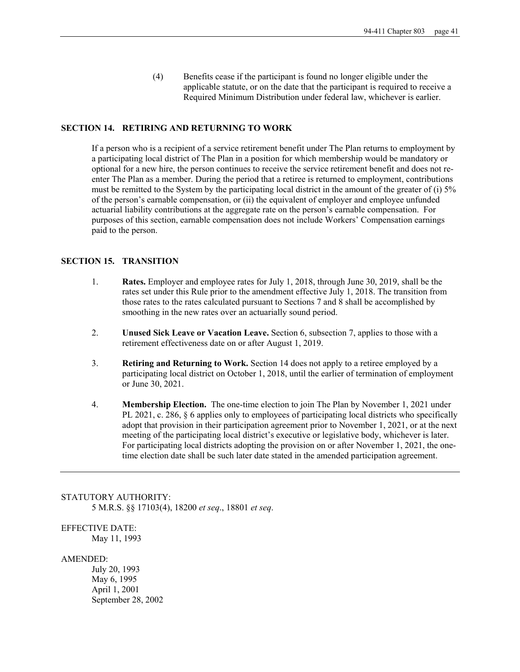(4) Benefits cease if the participant is found no longer eligible under the applicable statute, or on the date that the participant is required to receive a Required Minimum Distribution under federal law, whichever is earlier.

### **SECTION 14. RETIRING AND RETURNING TO WORK**

If a person who is a recipient of a service retirement benefit under The Plan returns to employment by a participating local district of The Plan in a position for which membership would be mandatory or optional for a new hire, the person continues to receive the service retirement benefit and does not reenter The Plan as a member. During the period that a retiree is returned to employment, contributions must be remitted to the System by the participating local district in the amount of the greater of (i) 5% of the person's earnable compensation, or (ii) the equivalent of employer and employee unfunded actuarial liability contributions at the aggregate rate on the person's earnable compensation. For purposes of this section, earnable compensation does not include Workers' Compensation earnings paid to the person.

## **SECTION 15. TRANSITION**

- 1. **Rates.** Employer and employee rates for July 1, 2018, through June 30, 2019, shall be the rates set under this Rule prior to the amendment effective July 1, 2018. The transition from those rates to the rates calculated pursuant to Sections 7 and 8 shall be accomplished by smoothing in the new rates over an actuarially sound period.
- 2. **Unused Sick Leave or Vacation Leave.** Section 6, subsection 7, applies to those with a retirement effectiveness date on or after August 1, 2019.
- 3. **Retiring and Returning to Work.** Section 14 does not apply to a retiree employed by a participating local district on October 1, 2018, until the earlier of termination of employment or June 30, 2021.
- 4. **Membership Election.** The one-time election to join The Plan by November 1, 2021 under PL 2021, c. 286, § 6 applies only to employees of participating local districts who specifically adopt that provision in their participation agreement prior to November 1, 2021, or at the next meeting of the participating local district's executive or legislative body, whichever is later. For participating local districts adopting the provision on or after November 1, 2021, the onetime election date shall be such later date stated in the amended participation agreement.

## STATUTORY AUTHORITY:

5 M.R.S. §§ 17103(4), 18200 *et seq*., 18801 *et seq*.

# EFFECTIVE DATE:

May 11, 1993

#### AMENDED:

 July 20, 1993 May 6, 1995 April 1, 2001 September 28, 2002